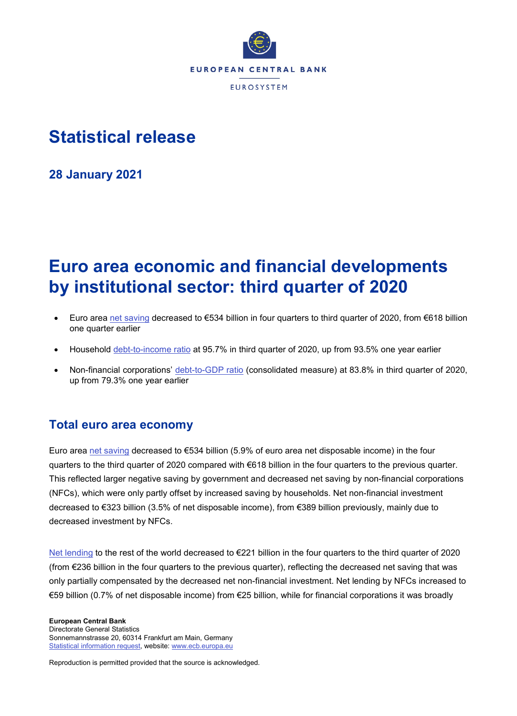

# **Statistical release**

**28 January 2021**

# **Euro area economic and financial developments by institutional sector: third quarter of 2020**

- Euro area [net saving](https://sdw.ecb.europa.eu/quickview.do?SERIES_KEY=332.QSA.Q.N.I8.W0.S1.S1._Z.B.B8N._Z._Z._Z.XDC._T.S.V.C4._T) decreased to €534 billion in four quarters to third quarter of 2020, from €618 billion one quarter earlier
- Household [debt-to-income ratio](https://sdw.ecb.europa.eu/quickview.do?SERIES_KEY=332.QSA.Q.N.I8.W0.S1M.S1.N.L.LE.F4.T._Z.XDC_R_B6GA_CY._T.S.V.N._T) at 95.7% in third quarter of 2020, up from 93.5% one year earlier
- Non-financial corporations' [debt-to-GDP ratio](https://sdw.ecb.europa.eu/quickview.do?SERIES_KEY=332.QSA.Q.N.I8.W0.S11.S1.C.L.LE.F3T4.T._Z.XDC_R_B1GQ_CY._T.S.V.N._T) (consolidated measure) at 83.8% in third quarter of 2020, up from 79.3% one year earlier

# **Total euro area economy**

Euro area [net saving](https://sdw.ecb.europa.eu/quickview.do?SERIES_KEY=332.QSA.Q.N.I8.W0.S1.S1._Z.B.B8N._Z._Z._Z.XDC._T.S.V.C4._T) decreased to €534 billion (5.9% of euro area net disposable income) in the four quarters to the third quarter of 2020 compared with €618 billion in the four quarters to the previous quarter. This reflected larger negative saving by government and decreased net saving by non-financial corporations (NFCs), which were only partly offset by increased saving by households. Net non-financial investment decreased to €323 billion (3.5% of net disposable income), from €389 billion previously, mainly due to decreased investment by NFCs.

[Net lending](http://sdw.ecb.europa.eu/quickview.do?SERIES_KEY=332.QSA.Q.N.I8.W0.S1.S1._Z.B.B9._Z._Z._Z.XDC._T.S.V.N._T) to the rest of the world decreased to €221 billion in the four quarters to the third quarter of 2020 (from €236 billion in the four quarters to the previous quarter), reflecting the decreased net saving that was only partially compensated by the decreased net non-financial investment. Net lending by NFCs increased to €59 billion (0.7% of net disposable income) from €25 billion, while for financial corporations it was broadly

**European Central Bank** Directorate General Statistics Sonnemannstrasse 20, 60314 Frankfurt am Main, Germany [Statistical information request,](https://ecb-registration.escb.eu/statistical-information) website[: www.ecb.europa.eu](http://www.ecb.europa.eu/)

Reproduction is permitted provided that the source is acknowledged.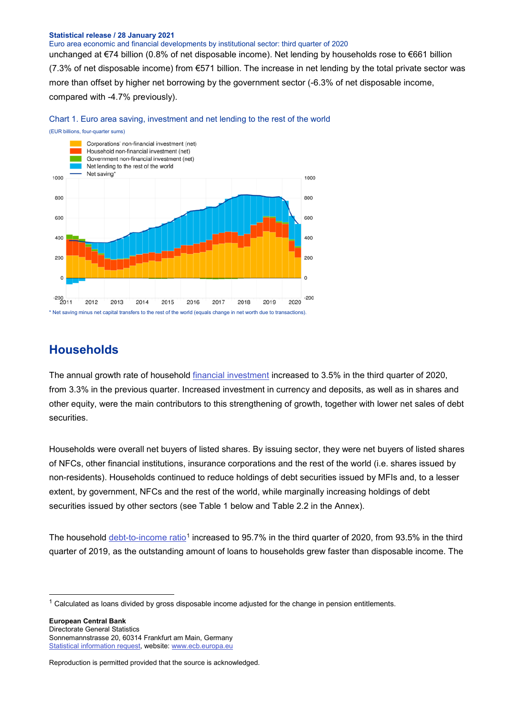### **Statistical release / 28 January 2021**

### Euro area economic and financial developments by institutional sector: third quarter of 2020

unchanged at €74 billion (0.8% of net disposable income). Net lending by households rose to €661 billion (7.3% of net disposable income) from €571 billion. The increase in net lending by the total private sector was more than offset by higher net borrowing by the government sector (-6.3% of net disposable income, compared with -4.7% previously).



Chart 1. Euro area saving, investment and net lending to the rest of the world

### **Households**

The annual growth rate of household [financial investment](http://sdw.ecb.europa.eu/browseTable.do?dc=&type=series&cv=&ec=&rc=&node=SEARCHRESULTS&oc=&df=&q=QSA.Q.N.I8.W0.S1M.S1.N.A.F.F._Z._Z.XDC._T.S.V.N._T%20QSA.Q.N.I8.W0.S1M.S1.N.A.LE.F._Z._Z.XDC._T.S.V.N._T&pb=&SERIES_KEY=332.QSA.Q.N.I8.W0.S1M.S1.N.A.F.F._Z._Z.XDC._T.S.V.N._T&SERIES_KEY=332.QSA.Q.N.I8.W0.S1M.S1.N.A.LE.F._Z._Z.XDC._T.S.V.N._T) increased to 3.5% in the third quarter of 2020, from 3.3% in the previous quarter. Increased investment in currency and deposits, as well as in shares and other equity, were the main contributors to this strengthening of growth, together with lower net sales of debt securities.

Households were overall net buyers of listed shares. By issuing sector, they were net buyers of listed shares of NFCs, other financial institutions, insurance corporations and the rest of the world (i.e. shares issued by non-residents). Households continued to reduce holdings of debt securities issued by MFIs and, to a lesser extent, by government, NFCs and the rest of the world, while marginally increasing holdings of debt securities issued by other sectors (see Table 1 below and Table 2.2 in the Annex).

The household [debt-to-income ratio](https://sdw.ecb.europa.eu/quickview.do?SERIES_KEY=332.QSA.Q.N.I8.W0.S1M.S1.N.L.LE.F4.T._Z.XDC_R_B6GA_CY._T.S.V.N._T)<sup>[1](#page-1-0)</sup> increased to 95.7% in the third quarter of 2020, from 93.5% in the third quarter of 2019, as the outstanding amount of loans to households grew faster than disposable income. The

**European Central Bank** Directorate General Statistics Sonnemannstrasse 20, 60314 Frankfurt am Main, Germany [Statistical information request,](https://ecb-registration.escb.eu/statistical-information) website[: www.ecb.europa.eu](http://www.ecb.europa.eu/)

<span id="page-1-0"></span> $1$  Calculated as loans divided by gross disposable income adjusted for the change in pension entitlements.

Reproduction is permitted provided that the source is acknowledged.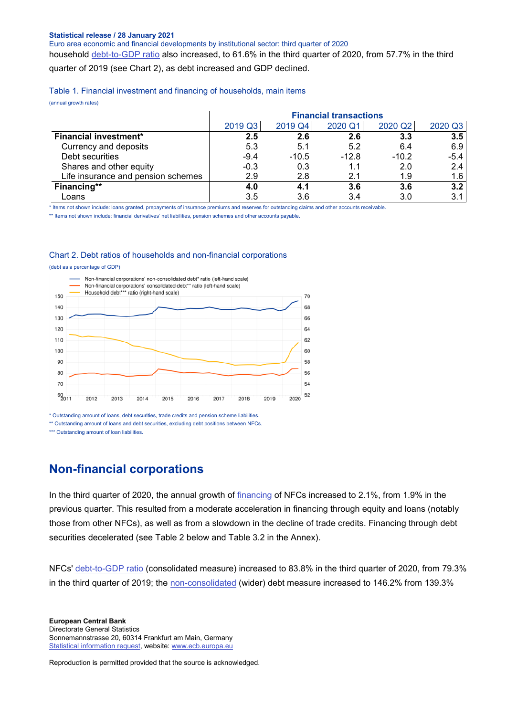#### **Statistical release / 28 January 2021**

Euro area economic and financial developments by institutional sector: third quarter of 2020

household [debt-to-GDP ratio](https://sdw.ecb.europa.eu/quickview.do?SERIES_KEY=332.QSA.Q.N.I8.W0.S1M.S1.N.L.LE.F4.T._Z.XDC_R_B1GQ_CY._T.S.V.N._T) also increased, to 61.6% in the third quarter of 2020, from 57.7% in the third quarter of 2019 (see Chart 2), as debt increased and GDP declined.

Table 1. Financial investment and financing of households, main items

(annual growth rates)

|                                    |         |         | <b>Financial transactions</b> |         |               |
|------------------------------------|---------|---------|-------------------------------|---------|---------------|
|                                    | 2019 Q3 | 2019 Q4 | 2020 Q1                       | 2020 Q2 | 2020 Q3       |
| <b>Financial investment*</b>       | 2.5     | 2.6     | 2.6                           | 3.3     | 3.5           |
| Currency and deposits              | 5.3     | 5.1     | 5.2                           | 6.4     | 6.9           |
| Debt securities                    | $-9.4$  | $-10.5$ | $-12.8$                       | $-10.2$ | -5.4          |
| Shares and other equity            | $-0.3$  | 0.3     | 1.1                           | 2.0     | $2.4^{\circ}$ |
| Life insurance and pension schemes | 2.9     | 2.8     | 2.1                           | 1.9     | 1.6           |
| Financing**                        | 4.0     | 4.1     | 3.6                           | 3.6     | 3.2           |
| Loans                              | 3.5     | 3.6     | 3.4                           | 3.0     | 3.1           |

\* Items not shown include: loans granted, prepayments of insurance premiums and reserves for outstanding claims and other accounts receivable.

\*\* Items not shown include: financial derivatives' net liabilities, pension schemes and other accounts payable.

### Chart 2. Debt ratios of households and non-financial corporations

(debt as a percentage of GDP)



\* Outstanding amount of loans, debt securities, trade credits and pension scheme liabilities.

\*\* Outstanding amount of loans and debt securities, excluding debt positions between NFCs.

\*\*\* Outstanding amount of loan liabilities.

# **Non-financial corporations**

In the third quarter of 2020, the annual growth of [financing](http://sdw.ecb.europa.eu/quickview.do?SERIES_KEY=332.QSA.Q.N.I8.W0.S11.S1.N.L.F.F._Z._Z.XDC._T.S.V.N._T) of NFCs increased to 2.1%, from 1.9% in the previous quarter. This resulted from a moderate acceleration in financing through equity and loans (notably those from other NFCs), as well as from a slowdown in the decline of trade credits. Financing through debt securities decelerated (see Table 2 below and Table 3.2 in the Annex).

NFCs' [debt-to-GDP ratio](https://sdw.ecb.europa.eu/quickview.do?SERIES_KEY=332.QSA.Q.N.I8.W0.S11.S1.C.L.LE.F3T4.T._Z.XDC_R_B1GQ_CY._T.S.V.N._T) (consolidated measure) increased to 83.8% in the third quarter of 2020, from 79.3% in the third quarter of 2019; the [non-consolidated](https://sdw.ecb.europa.eu/quickview.do?SERIES_KEY=332.QSA.Q.N.I8.W0.S11.S1.N.L.LE.FPT.T._Z.XDC_R_B1GQ_CY._T.S.V.N._T) (wider) debt measure increased to 146.2% from 139.3%

Reproduction is permitted provided that the source is acknowledged.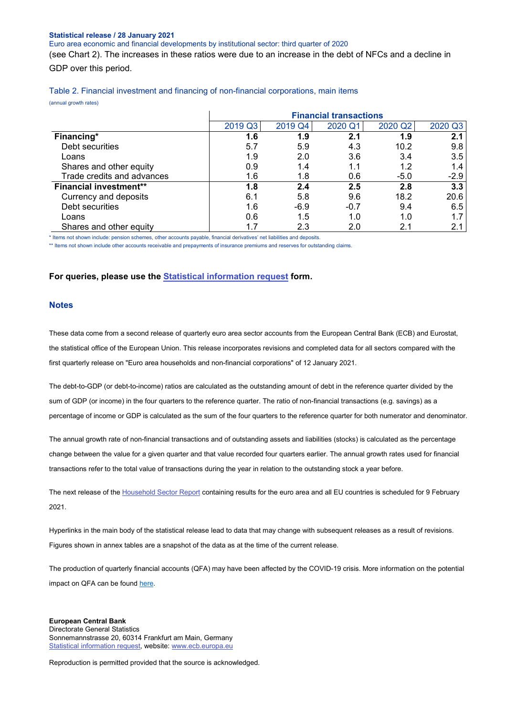### **Statistical release / 28 January 2021**

Euro area economic and financial developments by institutional sector: third quarter of 2020

(see Chart 2). The increases in these ratios were due to an increase in the debt of NFCs and a decline in GDP over this period.

| Table 2. Financial investment and financing of non-financial corporations, main items |  |  |  |  |
|---------------------------------------------------------------------------------------|--|--|--|--|
|---------------------------------------------------------------------------------------|--|--|--|--|

(annual growth rates)

|                               | <b>Financial transactions</b> |         |         |         |         |  |  |  |  |  |
|-------------------------------|-------------------------------|---------|---------|---------|---------|--|--|--|--|--|
|                               | 2019 Q3                       | 2019 Q4 | 2020 Q1 | 2020 Q2 | 2020 Q3 |  |  |  |  |  |
| Financing*                    | 1.6                           | 1.9     | 2.1     | 1.9     | 2.1     |  |  |  |  |  |
| Debt securities               | 5.7                           | 5.9     | 4.3     | 10.2    | 9.8     |  |  |  |  |  |
| Loans                         | 1.9                           | 2.0     | 3.6     | 3.4     | 3.5     |  |  |  |  |  |
| Shares and other equity       | 0.9                           | 1.4     | 1.1     | 1.2     | 1.4     |  |  |  |  |  |
| Trade credits and advances    | 1.6                           | 1.8     | 0.6     | $-5.0$  | $-2.9$  |  |  |  |  |  |
| <b>Financial investment**</b> | 1.8                           | 2.4     | 2.5     | 2.8     | 3.3     |  |  |  |  |  |
| Currency and deposits         | 6.1                           | 5.8     | 9.6     | 18.2    | 20.6    |  |  |  |  |  |
| Debt securities               | 1.6                           | $-6.9$  | $-0.7$  | 9.4     | 6.5     |  |  |  |  |  |
| Loans                         | 0.6                           | 1.5     | 1.0     | 1.0     | 1.7     |  |  |  |  |  |
| Shares and other equity       | 1.7                           | 2.3     | 2.0     | 2.1     | 2.1     |  |  |  |  |  |

\* Items not shown include: pension schemes, other accounts payable, financial derivatives' net liabilities and deposits.

\*\* Items not shown include other accounts receivable and prepayments of insurance premiums and reserves for outstanding claims

### **For queries, please use the [Statistical information request](https://ecb-registration.escb.eu/statistical-information) form.**

### **Notes**

These data come from a second release of quarterly euro area sector accounts from the European Central Bank (ECB) and Eurostat, the statistical office of the European Union. This release incorporates revisions and completed data for all sectors compared with the first quarterly release on "Euro area households and non-financial corporations" of 12 January 2021.

The debt-to-GDP (or debt-to-income) ratios are calculated as the outstanding amount of debt in the reference quarter divided by the sum of GDP (or income) in the four quarters to the reference quarter. The ratio of non-financial transactions (e.g. savings) as a percentage of income or GDP is calculated as the sum of the four quarters to the reference quarter for both numerator and denominator.

The annual growth rate of non-financial transactions and of outstanding assets and liabilities (stocks) is calculated as the percentage change between the value for a given quarter and that value recorded four quarters earlier. The annual growth rates used for financial transactions refer to the total value of transactions during the year in relation to the outstanding stock a year before.

The next release of the [Household Sector Report](http://sdw.ecb.europa.eu/reports.do?node=1000004952) containing results for the euro area and all EU countries is scheduled for 9 February 2021.

Hyperlinks in the main body of the statistical release lead to data that may change with subsequent releases as a result of revisions. Figures shown in annex tables are a snapshot of the data as at the time of the current release.

The production of quarterly financial accounts (QFA) may have been affected by the COVID-19 crisis. More information on the potential impact on QFA can be found [here.](https://www.ecb.europa.eu/stats/pdf/Impact_of_the_COVID-19_pandemic_on_the_Quarterly_Financial_Accounts_statistics.pdf)

### **European Central Bank** Directorate General Statistics Sonnemannstrasse 20, 60314 Frankfurt am Main, Germany [Statistical information request,](https://ecb-registration.escb.eu/statistical-information) website[: www.ecb.europa.eu](http://www.ecb.europa.eu/)

Reproduction is permitted provided that the source is acknowledged.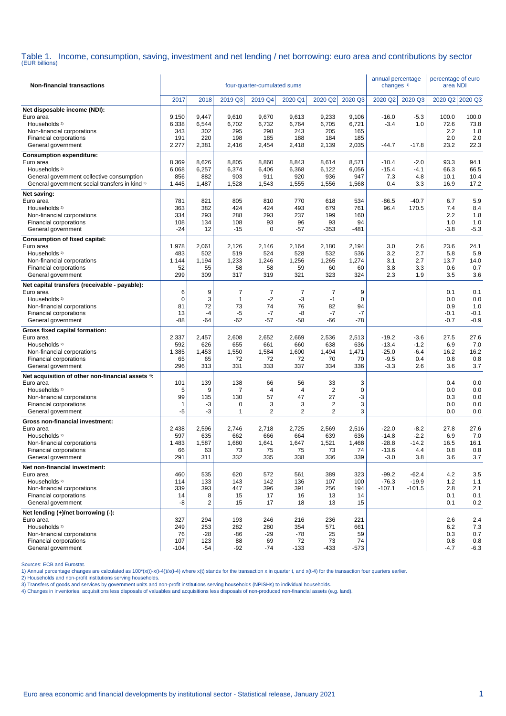# Table 1. Income, consumption, saving, investment and net lending / net borrowing: euro area and contributions by sector (EUR billions)

| <b>Non-financial transactions</b>                                                                                                                                                      |                                       |                                                   |                                          | four-quarter-cumulated sums                   |                                           |                                                   |                                       | annual percentage<br>changes <sup>1)</sup>         |                                           | percentage of euro<br>area NDI        |                                       |
|----------------------------------------------------------------------------------------------------------------------------------------------------------------------------------------|---------------------------------------|---------------------------------------------------|------------------------------------------|-----------------------------------------------|-------------------------------------------|---------------------------------------------------|---------------------------------------|----------------------------------------------------|-------------------------------------------|---------------------------------------|---------------------------------------|
|                                                                                                                                                                                        | 2017                                  | 2018                                              | 2019 Q3                                  | 2019 Q4                                       | 2020 Q1                                   | 2020 Q2                                           | 2020 Q3                               | 2020 Q2                                            | 2020 Q3                                   | 2020 Q2                               | 2020 Q3                               |
| Net disposable income (NDI):<br>Euro area<br>Households <sup>2)</sup><br>Non-financial corporations<br>Financial corporations<br>General government                                    | 9,150<br>6,338<br>343<br>191<br>2,277 | 9,447<br>6,544<br>302<br>220<br>2,381             | 9,610<br>6,702<br>295<br>198<br>2,416    | 9,670<br>6,732<br>298<br>185<br>2,454         | 9,613<br>6,764<br>243<br>188<br>2,418     | 9,233<br>6,705<br>205<br>184<br>2,139             | 9,106<br>6,721<br>165<br>185<br>2,035 | $-16.0$<br>$-3.4$<br>$-44.7$                       | $-5.3$<br>1.0<br>$-17.8$                  | 100.0<br>72.6<br>2.2<br>2.0<br>23.2   | 100.0<br>73.8<br>1.8<br>2.0<br>22.3   |
| <b>Consumption expenditure:</b><br>Euro area<br>Households <sup>2)</sup><br>General government collective consumption<br>General government social transfers in kind 3)<br>Net saving: | 8,369<br>6,068<br>856<br>1,445        | 8,626<br>6,257<br>882<br>1,487                    | 8,805<br>6,374<br>903<br>1,528           | 8,860<br>6,406<br>911<br>1,543                | 8,843<br>6,368<br>920<br>1,555            | 8,614<br>6,122<br>936<br>1,556                    | 8,571<br>6,056<br>947<br>1,568        | $-10.4$<br>$-15.4$<br>7.3<br>0.4                   | $-2.0$<br>$-4.1$<br>4.8<br>3.3            | 93.3<br>66.3<br>10.1<br>16.9          | 94.1<br>66.5<br>10.4<br>17.2          |
| Euro area<br>Households <sup>2)</sup><br>Non-financial corporations<br>Financial corporations<br>General government                                                                    | 781<br>363<br>334<br>108<br>$-24$     | 821<br>382<br>293<br>134<br>12                    | 805<br>424<br>288<br>108<br>$-15$        | 810<br>424<br>293<br>93<br>0                  | 770<br>493<br>237<br>96<br>$-57$          | 618<br>679<br>199<br>93<br>$-353$                 | 534<br>761<br>160<br>94<br>$-481$     | $-86.5$<br>96.4                                    | $-40.7$<br>170.5                          | 6.7<br>7.4<br>2.2<br>1.0<br>$-3.8$    | 5.9<br>8.4<br>1.8<br>1.0<br>$-5.3$    |
| <b>Consumption of fixed capital:</b><br>Euro area<br>Households <sup>2)</sup><br>Non-financial corporations<br>Financial corporations<br>General government                            | 1,978<br>483<br>1,144<br>52<br>299    | 2,061<br>502<br>1,194<br>55<br>309                | 2,126<br>519<br>1,233<br>58<br>317       | 2,146<br>524<br>1,246<br>58<br>319            | 2,164<br>528<br>1,256<br>59<br>321        | 2,180<br>532<br>1,265<br>60<br>323                | 2,194<br>536<br>1,274<br>60<br>324    | 3.0<br>3.2<br>3.1<br>3.8<br>2.3                    | 2.6<br>2.7<br>2.7<br>3.3<br>1.9           | 23.6<br>5.8<br>13.7<br>0.6<br>3.5     | 24.1<br>5.9<br>14.0<br>0.7<br>3.6     |
| Net capital transfers (receivable - payable):<br>Euro area<br>Households <sup>2)</sup><br>Non-financial corporations<br>Financial corporations<br>General government                   | 6<br>$\mathbf 0$<br>81<br>13<br>$-88$ | 9<br>3<br>72<br>$-4$<br>$-64$                     | 7<br>$\mathbf{1}$<br>73<br>$-5$<br>$-62$ | $\overline{7}$<br>$-2$<br>74<br>$-7$<br>$-57$ | $\overline{7}$<br>-3<br>76<br>-8<br>$-58$ | 7<br>$-1$<br>82<br>$-7$<br>-66                    | 9<br>0<br>94<br>$-7$<br>$-78$         |                                                    |                                           | 0.1<br>0.0<br>0.9<br>$-0.1$<br>$-0.7$ | 0.1<br>0.0<br>1.0<br>$-0.1$<br>$-0.9$ |
| Gross fixed capital formation:<br>Euro area<br>Households <sup>2)</sup><br>Non-financial corporations<br>Financial corporations<br>General government                                  | 2,337<br>592<br>1,385<br>65<br>296    | 2,457<br>626<br>1,453<br>65<br>313                | 2,608<br>655<br>1,550<br>72<br>331       | 2,652<br>661<br>1,584<br>72<br>333            | 2,669<br>660<br>1,600<br>72<br>337        | 2,536<br>638<br>1,494<br>70<br>334                | 2,513<br>636<br>1,471<br>70<br>336    | $-19.2$<br>$-13.4$<br>$-25.0$<br>$-9.5$<br>$-3.3$  | $-3.6$<br>$-1.2$<br>$-6.4$<br>0.4<br>2.6  | 27.5<br>6.9<br>16.2<br>0.8<br>3.6     | 27.6<br>7.0<br>16.2<br>0.8<br>3.7     |
| Net acquisition of other non-financial assets 4:<br>Euro area<br>Households <sup>2)</sup><br>Non-financial corporations<br>Financial corporations<br>General government                | 101<br>5<br>99<br>$\mathbf{1}$<br>-5  | 139<br>9<br>135<br>-3<br>-3                       | 138<br>$\overline{7}$<br>130<br>0<br>1   | 66<br>4<br>57<br>3<br>$\overline{2}$          | 56<br>$\overline{4}$<br>47<br>3<br>2      | 33<br>2<br>27<br>$\overline{2}$<br>$\overline{2}$ | 3<br>$\pmb{0}$<br>-3<br>3<br>3        |                                                    |                                           | 0.4<br>0.0<br>0.3<br>0.0<br>0.0       | 0.0<br>0.0<br>0.0<br>0.0<br>0.0       |
| Gross non-financial investment:<br>Euro area<br>Households <sup>2)</sup><br>Non-financial corporations<br>Financial corporations<br>General government                                 | 2,438<br>597<br>1,483<br>66<br>291    | 2,596<br>635<br>1,587<br>63<br>311                | 2,746<br>662<br>1,680<br>73<br>332       | 2,718<br>666<br>1,641<br>75<br>335            | 2,725<br>664<br>1,647<br>75<br>338        | 2,569<br>639<br>1,521<br>73<br>336                | 2,516<br>636<br>1,468<br>74<br>339    | $-22.0$<br>$-14.8$<br>$-28.8$<br>$-13.6$<br>$-3.0$ | $-8.2$<br>$-2.2$<br>$-14.2$<br>4.4<br>3.8 | 27.8<br>6.9<br>16.5<br>0.8<br>3.6     | 27.6<br>7.0<br>16.1<br>0.8<br>3.7     |
| Net non-financial investment:<br>Euro area<br>Households <sup>2)</sup><br>Non-financial corporations<br>Financial corporations<br>General government                                   | 460<br>114<br>339<br>14<br>-8         | 535<br>133<br>393<br>8<br>$\overline{\mathbf{c}}$ | 620<br>143<br>447<br>15<br>15            | 572<br>142<br>396<br>17<br>17                 | 561<br>136<br>391<br>16<br>18             | 389<br>107<br>256<br>13<br>13                     | 323<br>100<br>194<br>14<br>15         | $-99.2$<br>$-76.3$<br>$-107.1$                     | $-62.4$<br>$-19.9$<br>$-101.5$            | 4.2<br>1.2<br>2.8<br>0.1<br>0.1       | 3.5<br>1.1<br>2.1<br>0.1<br>0.2       |
| Net lending (+)/net borrowing (-):<br>Euro area<br>Households <sup>2)</sup><br>Non-financial corporations<br>Financial corporations<br>General government                              | 327<br>249<br>76<br>107<br>$-104$     | 294<br>253<br>$-28$<br>123<br>$-54$               | 193<br>282<br>-86<br>88<br>$-92$         | 246<br>280<br>$-29$<br>69<br>-74              | 216<br>354<br>-78<br>72<br>$-133$         | 236<br>571<br>25<br>73<br>-433                    | 221<br>661<br>59<br>74<br>$-573$      |                                                    |                                           | 2.6<br>6.2<br>0.3<br>0.8<br>$-4.7$    | 2.4<br>7.3<br>0.7<br>0.8<br>$-6.3$    |

Sources: ECB and Eurostat.

1) Annual percentage changes are calculated as 100\*(x(t)-x(t-4))/x(t-4) where x(t) stands for the transaction x in quarter t, and x(t-4) for the transaction four quarters earlier.<br>2) Households and non-profit institutions

3) Transfers of goods and services by government units and non-profit institutions serving households (NPISHs) to individual households.<br>4) Changes in inventories, acquisitions less disposals of valuables and acquisitions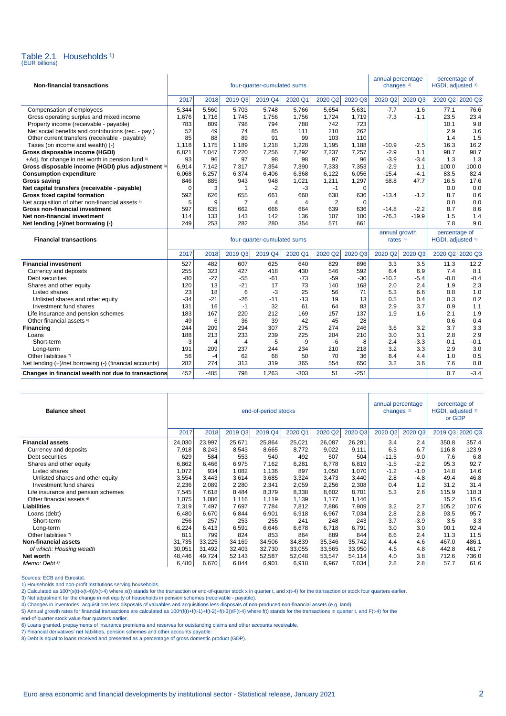

| <b>Non-financial transactions</b>                      | four-quarter-cumulated sums |                |                |                             |         |         |             | annual percentage<br>changes <sup>2)</sup> |         | percentage of<br>HGDI, adjusted <sup>3)</sup> |        |
|--------------------------------------------------------|-----------------------------|----------------|----------------|-----------------------------|---------|---------|-------------|--------------------------------------------|---------|-----------------------------------------------|--------|
|                                                        | 2017                        | 2018           | 2019 Q3        | 2019 Q4                     | 2020 Q1 | 2020 Q2 | 2020 Q3     | 2020 Q2                                    | 2020 Q3 | 2020 Q2 2020 Q3                               |        |
| Compensation of employees                              | 5.344                       | 5,560          | 5,703          | 5.748                       | 5,766   | 5,654   | 5,631       | $-7.7$                                     | $-1.6$  | 77.1                                          | 76.6   |
| Gross operating surplus and mixed income               | 1,676                       | 1,716          | 1,745          | 1,756                       | 1,756   | 1,724   | 1,719       | $-7.3$                                     | $-1.1$  | 23.5                                          | 23.4   |
| Property income (receivable - payable)                 | 783                         | 809            | 798            | 794                         | 788     | 742     | 723         |                                            |         | 10.1                                          | 9.8    |
| Net social benefits and contributions (rec. - pay.)    | 52                          | 49             | 74             | 85                          | 111     | 210     | 262         |                                            |         | 2.9                                           | 3.6    |
| Other current transfers (receivable - payable)         | 85                          | 88             | 89             | 91                          | 99      | 103     | 110         |                                            |         | 1.4                                           | 1.5    |
| Taxes (on income and wealth) (-)                       | 1,118                       | 1,175          | 1,189          | 1,218                       | 1,228   | 1,195   | 1,188       | $-10.9$                                    | $-2.5$  | 16.3                                          | 16.2   |
| Gross disposable income (HGDI)                         | 6,821                       | 7,047          | 7,220          | 7,256                       | 7,292   | 7,237   | 7,257       | $-2.9$                                     | 1.1     | 98.7                                          | 98.7   |
| +Adj. for change in net worth in pension fund 3)       | 93                          | 96             | 97             | 98                          | 98      | 97      | 96          | $-3.9$                                     | $-3.4$  | 1.3                                           | 1.3    |
| Gross disposable income (HGDI) plus adjustment 3)      | 6,914                       | 7.142          | 7,317          | 7,354                       | 7,390   | 7,333   | 7,353       | $-2.9$                                     | 1.1     | 100.0                                         | 100.0  |
| <b>Consumption expenditure</b>                         | 6,068                       | 6,257          | 6,374          | 6,406                       | 6,368   | 6,122   | 6,056       | $-15.4$                                    | -4.1    | 83.5                                          | 82.4   |
| <b>Gross saving</b>                                    | 846                         | 885            | 943            | 948                         | 1,021   | 1,211   | 1,297       | 58.8                                       | 47.7    | 16.5                                          | 17.6   |
| Net capital transfers (receivable - payable)           | 0                           | 3              | 1              | $-2$                        | $-3$    | $-1$    | $\mathbf 0$ |                                            |         | 0.0                                           | 0.0    |
| Gross fixed capital formation                          | 592                         | 626            | 655            | 661                         | 660     | 638     | 636         | $-13.4$                                    | $-1.2$  | 8.7                                           | 8.6    |
| Net acquisition of other non-financial assets 4)       | 5                           | 9              | $\overline{7}$ | 4                           | 4       | 2       | $\Omega$    |                                            |         | 0.0                                           | 0.0    |
| <b>Gross non-financial investment</b>                  | 597                         | 635            | 662            | 666                         | 664     | 639     | 636         | $-14.8$                                    | $-2.2$  | 8.7                                           | 8.6    |
| Net non-financial investment                           | 114                         | 133            | 143            | 142                         | 136     | 107     | 100         | $-76.3$                                    | $-19.9$ | 1.5                                           | 1.4    |
| Net lending (+)/net borrowing (-)                      | 249                         | 253            | 282            | 280                         | 354     | 571     | 661         |                                            |         | 7.8                                           | 9.0    |
|                                                        |                             |                |                |                             |         |         |             |                                            |         |                                               |        |
|                                                        |                             |                |                |                             |         |         |             | annual growth                              |         | percentage of                                 |        |
| <b>Financial transactions</b>                          |                             |                |                | four-quarter-cumulated sums |         |         |             | rates $5$                                  |         | HGDI, adjusted 3)                             |        |
|                                                        | 2017                        | 2018           | 2019 Q3        | 2019 Q4                     | 2020 Q1 | 2020 Q2 | 2020 Q3     | 2020 Q2                                    | 2020 Q3 | 2020 Q2 2020 Q3                               |        |
| <b>Financial investment</b>                            | 527                         | 482            | 607            | 625                         | 640     | 829     | 896         | 3.3                                        | 3.5     | 11.3                                          | 12.2   |
| Currency and deposits                                  | 255                         | 323            | 427            | 418                         | 430     | 546     | 592         | 6.4                                        | 6.9     | 7.4                                           | 8.1    |
| Debt securities                                        | $-80$                       | $-27$          | $-55$          | $-61$                       | $-73$   | $-59$   | $-30$       | $-10.2$                                    | $-5.4$  | $-0.8$                                        | $-0.4$ |
| Shares and other equity                                | 120                         | 13             | $-21$          | 17                          | 73      | 140     | 168         | 2.0                                        | 2.4     | 1.9                                           | 2.3    |
| Listed shares                                          | 23                          | 18             | 6              | $-3$                        | 25      | 56      | 71          | 5.3                                        | 6.6     | 0.8                                           | 1.0    |
| Unlisted shares and other equity                       | $-34$                       | $-21$          | $-26$          | $-11$                       | $-13$   | 19      | 13          | 0.5                                        | 0.4     | 0.3                                           | 0.2    |
| Investment fund shares                                 | 131                         | 16             | $-1$           | 32                          | 61      | 64      | 83          | 2.9                                        | 3.7     | 0.9                                           | 1.1    |
| Life insurance and pension schemes                     | 183                         | 167            | 220            | 212                         | 169     | 157     | 137         | 1.9                                        | 1.6     | 2.1                                           | 1.9    |
| Other financial assets <sup>6)</sup>                   | 49                          | 6              | 36             | 39                          | 42      | 45      | 28          |                                            |         | 0.6                                           | 0.4    |
| Financing                                              | 244                         | 209            | 294            | 307                         | 275     | 274     | 246         | 3.6                                        | 3.2     | 3.7                                           | 3.3    |
| Loans                                                  | 188                         | 213            | 233            | 239                         | 225     | 204     | 210         | 3.0                                        | 3.1     | 2.8                                           | 2.9    |
| Short-term                                             | $-3$                        | $\overline{4}$ | $-4$           | $-5$                        | -9      | -6      | -8          | $-2.4$                                     | $-3.3$  | $-0.1$                                        | $-0.1$ |
| Long-term                                              | 191                         | 209            | 237            | 244                         | 234     | 210     | 218         | 3.2                                        | 3.3     | 2.9                                           | 3.0    |
| Other liabilities 7)                                   | 56                          | $-4$           | 62             | 68                          | 50      | 70      | 36          | 8.4                                        | 4.4     | 1.0                                           | 0.5    |
| Net lending (+)/net borrowing (-) (financial accounts) | 282                         | 274            | 313            | 319                         | 365     | 554     | 650         | 3.2                                        | 3.6     | 7.6                                           | 8.8    |

| <b>Balance sheet</b>                 |        |        | end-of-period stocks | annual percentage<br>changes <sup>2)</sup> |         | percentage of<br>HGDI, adjusted 3)<br>or GDP |         |         |         |                 |       |
|--------------------------------------|--------|--------|----------------------|--------------------------------------------|---------|----------------------------------------------|---------|---------|---------|-----------------|-------|
|                                      | 2017   | 2018   | 2019 Q3              | 2019 Q4                                    | 2020 Q1 | 2020 Q2                                      | 2020 Q3 | 2020 Q2 | 2020 Q3 | 2019 Q3 2020 Q3 |       |
| <b>Financial assets</b>              | 24,030 | 23,997 | 25,671               | 25,864                                     | 25,021  | 26,087                                       | 26,281  | 3.4     | 2.4     | 350.8           | 357.4 |
| Currency and deposits                | 7,918  | 8,243  | 8,543                | 8,665                                      | 8,772   | 9,022                                        | 9,111   | 6.3     | 6.7     | 116.8           | 123.9 |
| Debt securities                      | 629    | 584    | 553                  | 540                                        | 492     | 507                                          | 504     | $-11.5$ | $-9.0$  | 7.6             | 6.8   |
| Shares and other equity              | 6,862  | 6,466  | 6,975                | 7,162                                      | 6,281   | 6,778                                        | 6,819   | $-1.5$  | $-2.2$  | 95.3            | 92.7  |
| Listed shares                        | 1,072  | 934    | 1,082                | 1,136                                      | 897     | 1,050                                        | 1,070   | $-1.2$  | $-1.0$  | 14.8            | 14.6  |
| Unlisted shares and other equity     | 3,554  | 3,443  | 3,614                | 3,685                                      | 3,324   | 3,473                                        | 3,440   | $-2.8$  | $-4.8$  | 49.4            | 46.8  |
| Investment fund shares               | 2,236  | 2,089  | 2,280                | 2,341                                      | 2,059   | 2,256                                        | 2,308   | 0.4     | 1.2     | 31.2            | 31.4  |
| Life insurance and pension schemes   | 7,545  | 7,618  | 8,484                | 8,379                                      | 8,338   | 8,602                                        | 8,701   | 5.3     | 2.6     | 115.9           | 118.3 |
| Other financial assets <sup>6)</sup> | 1,075  | 1,086  | 1,116                | 1,119                                      | 1,139   | 1,177                                        | 1,146   |         |         | 15.2            | 15.6  |
| <b>Liabilities</b>                   | 7,319  | 7,497  | 7,697                | 7,784                                      | 7,812   | 7,886                                        | 7,909   | 3.2     | 2.7     | 105.2           | 107.6 |
| Loans (debt)                         | 6,480  | 6,670  | 6,844                | 6,901                                      | 6,918   | 6,967                                        | 7,034   | 2.8     | 2.8     | 93.5            | 95.7  |
| Short-term                           | 256    | 257    | 253                  | 255                                        | 241     | 248                                          | 243     | $-3.7$  | $-3.9$  | 3.5             | 3.3   |
| Long-term                            | 6,224  | 6,413  | 6,591                | 6,646                                      | 6,678   | 6,718                                        | 6,791   | 3.0     | 3.0     | 90.1            | 92.4  |
| Other liabilities 7)                 | 811    | 799    | 824                  | 853                                        | 864     | 889                                          | 844     | 6.6     | 2.4     | 11.3            | 11.5  |
| <b>Non-financial assets</b>          | 31,735 | 33,225 | 34,169               | 34,506                                     | 34,839  | 35,346                                       | 35,742  | 4.4     | 4.6     | 467.0           | 486.1 |
| of which: Housing wealth             | 30,051 | 31,492 | 32,403               | 32,730                                     | 33,055  | 33,565                                       | 33,950  | 4.5     | 4.8     | 442.8           | 461.7 |
| Net worth                            | 48,446 | 49,724 | 52,143               | 52,587                                     | 52,048  | 53,547                                       | 54,114  | 4.0     | 3.8     | 712.6           | 736.0 |
| Memo: Debt <sup>8)</sup>             | 6,480  | 6,670  | 6,844                | 6,901                                      | 6,918   | 6,967                                        | 7,034   | 2.8     | 2.8     | 57.7            | 61.6  |

Sources: ECB and Eurostat.

1) Households and non-profit institutions serving households.

2) Calculated as 100\*(x(t)-x(t-4))/x(t-4) where x(t) stands for the transaction or end-of-quarter stock x in quarter t, and x(t-4) for the transaction or stock four quarters earlier.

3) Net adjustment for the change in net equity of households in pension schemes (receivable - payable).<br>4) Changes in inventories, acquisitions less disposals of valuables and acquisitions less disposals of non-produced no

5) Annual growth rates for financial transactions are calculated as 100\*(f(t)+f(t-1)+f(t-2)+f(t-3)/F(t-4) where f(t) stands for the transactions in quarter t, and F(t-4) for the

end-of-quarter stock value four quarters earlier.

6) Loans granted, prepayments of insurance premiums and reserves for outstanding claims and other accounts receivable.

7) Financial derivatives' net liabilities, pension schemes and other accounts payable. 8) Debt is equal to loans received and presented as a percentage of gross domestic product (GDP).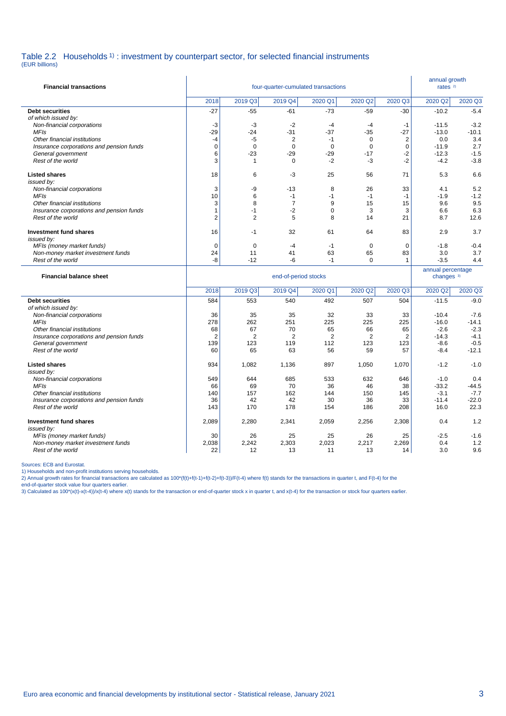#### Table 2.2 Households <sup>1</sup>) : investment by counterpart sector, for selected financial instruments (EUR billions)

| <b>Financial transactions</b>                                  | four-quarter-cumulated transactions |                |                         |                |                      |                         |                                            |                |
|----------------------------------------------------------------|-------------------------------------|----------------|-------------------------|----------------|----------------------|-------------------------|--------------------------------------------|----------------|
|                                                                | 2018                                | 2019 Q3        | 2019 Q4                 | 2020 Q1        | 2020 Q2              | 2020 Q3                 | 2020 Q2                                    | 2020 Q3        |
| <b>Debt securities</b>                                         | $-27$                               | $-55$          | $-61$                   | $-73$          | $-59$                | $-30$                   | $-10.2$                                    | $-5.4$         |
| of which issued by:                                            |                                     |                |                         |                |                      |                         |                                            |                |
| Non-financial corporations                                     | -3                                  | -3             | $-2$                    | $-4$           | $-4$                 | $-1$                    | $-11.5$                                    | $-3.2$         |
| <b>MFIs</b><br>Other financial institutions                    | $-29$<br>$-4$                       | $-24$<br>$-5$  | $-31$<br>$\overline{2}$ | $-37$<br>$-1$  | $-35$<br>$\mathbf 0$ | $-27$<br>$\overline{c}$ | $-13.0$<br>0.0                             | $-10.1$<br>3.4 |
| Insurance corporations and pension funds                       | 0                                   | $\mathbf 0$    | $\mathbf 0$             | $\mathbf 0$    | $\mathbf 0$          | 0                       | $-11.9$                                    | 2.7            |
| General government                                             | 6                                   | -23            | $-29$                   | $-29$          | $-17$                | $-2$                    | $-12.3$                                    | $-1.5$         |
| Rest of the world                                              | 3                                   | $\mathbf{1}$   | $\mathbf 0$             | $-2$           | $-3$                 | $-2$                    | $-4.2$                                     | $-3.8$         |
| <b>Listed shares</b>                                           | 18                                  | 6              | -3                      | 25             | 56                   | 71                      | 5.3                                        | 6.6            |
| issued bv:                                                     |                                     |                |                         |                |                      |                         |                                            |                |
| Non-financial corporations<br><b>MFIs</b>                      | 3<br>10                             | -9<br>6        | $-13$<br>$-1$           | 8<br>$-1$      | 26<br>$-1$           | 33<br>$-1$              | 4.1<br>$-1.9$                              | 5.2<br>$-1.2$  |
| Other financial institutions                                   | 3                                   | 8              | $\overline{7}$          | 9              | 15                   | 15                      | 9.6                                        | 9.5            |
| Insurance corporations and pension funds                       | $\mathbf{1}$                        | $-1$           | $-2$                    | $\Omega$       | 3                    | 3                       | 6.6                                        | 6.3            |
| Rest of the world                                              | $\overline{2}$                      | $\overline{2}$ | 5                       | 8              | 14                   | 21                      | 8.7                                        | 12.6           |
|                                                                |                                     |                |                         |                |                      |                         |                                            |                |
| <b>Investment fund shares</b><br>issued by:                    | 16                                  | $-1$           | 32                      | 61             | 64                   | 83                      | 2.9                                        | 3.7            |
| MFIs (money market funds)                                      | $\mathbf 0$                         | $\mathbf 0$    | $-4$                    | $-1$           | $\mathbf 0$          | $\mathbf 0$             | $-1.8$                                     | $-0.4$         |
| Non-money market investment funds                              | 24                                  | 11             | 41                      | 63             | 65                   | 83                      | 3.0                                        | 3.7            |
| Rest of the world                                              | -8                                  | $-12$          | -6                      | $-1$           | $\mathbf 0$          | $\mathbf{1}$            | $-3.5$                                     | 4.4            |
|                                                                |                                     |                |                         |                |                      |                         |                                            |                |
| <b>Financial balance sheet</b>                                 |                                     |                | end-of-period stocks    |                |                      |                         | annual percentage<br>changes <sup>3)</sup> |                |
|                                                                | 2018                                | 2019 Q3        | 2019 Q4                 | 2020 Q1        | 2020 Q2              | 2020 Q3                 | 2020 Q2                                    | 2020 Q3        |
| <b>Debt securities</b>                                         | 584                                 | 553            | 540                     | 492            | 507                  | 504                     | $-11.5$                                    | $-9.0$         |
| of which issued by:                                            |                                     |                |                         |                |                      |                         |                                            |                |
| Non-financial corporations                                     | 36                                  | 35             | 35                      | 32             | 33                   | 33                      | $-10.4$                                    | $-7.6$         |
| <b>MFIs</b>                                                    | 278                                 | 262            | 251                     | 225            | 225                  | 225                     | $-16.0$                                    | $-14.1$        |
| Other financial institutions                                   | 68                                  | 67             | 70                      | 65             | 66                   | 65                      | $-2.6$                                     | $-2.3$         |
| Insurance corporations and pension funds                       | $\overline{2}$                      | 2              | $\overline{2}$          | $\overline{2}$ | $\overline{2}$       | $\overline{2}$          | $-14.3$                                    | $-4.1$         |
| General government                                             | 139                                 | 123            | 119                     | 112            | 123                  | 123                     | $-8.6$                                     | $-0.5$         |
| Rest of the world                                              | 60                                  | 65             | 63                      | 56             | 59                   | 57                      | $-8.4$                                     | $-12.1$        |
| <b>Listed shares</b>                                           | 934                                 | 1,082          | 1,136                   | 897            | 1,050                | 1,070                   | $-1.2$                                     | $-1.0$         |
| issued by:<br>Non-financial corporations                       | 549                                 | 644            | 685                     | 533            | 632                  | 646                     | $-1.0$                                     | 0.4            |
| <b>MFIs</b>                                                    | 66                                  | 69             | 70                      | 36             | 46                   | 38                      | $-33.2$                                    | $-44.5$        |
| Other financial institutions                                   | 140                                 | 157            | 162                     | 144            | 150                  | 145                     | $-3.1$                                     | $-7.7$         |
| Insurance corporations and pension funds                       | 36                                  | 42             | 42                      | 30             | 36                   | 33                      | $-11.4$                                    | $-22.0$        |
| Rest of the world                                              | 143                                 | 170            | 178                     | 154            | 186                  | 208                     | 16.0                                       | 22.3           |
| <b>Investment fund shares</b>                                  | 2,089                               | 2,280          | 2,341                   | 2,059          | 2,256                | 2,308                   | 0.4                                        | 1.2            |
| issued by:                                                     |                                     |                |                         |                |                      |                         |                                            |                |
| MFIs (money market funds)<br>Non-money market investment funds | 30<br>2,038                         | 26<br>2,242    | 25<br>2,303             | 25<br>2,023    | 26<br>2,217          | 25<br>2,269             | $-2.5$<br>0.4                              | $-1.6$<br>1.2  |

Rest of the world

Sources: ECB and Eurostat.<br>2) Households and non-profit institutions serving households.<br>2) Annual growth rates for financial transactions are calculated as 100\*(f(t)+f(t-1)+f(t-2)+f(t-3))/F(t-4) where f(t) stands for the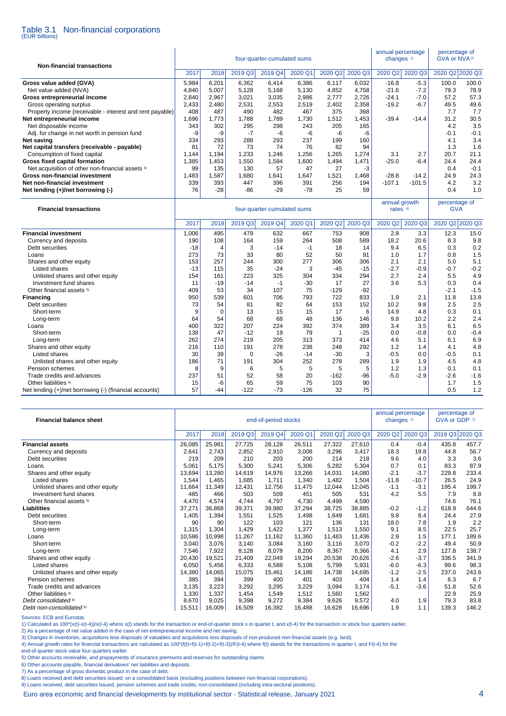#### Table 3.1 Non-financial corporations (EUR billions)

annual percentage percentage of<br>changes  $\frac{1}{1}$  GVA or NVA<sup>2)</sup> four-quarter-cumulated sums **Non-financial transactions** 2017 2018 2019 Q3 2019 Q4 2020 Q1 2020 Q2 2020 Q3 2020 Q2 2020 Q3 2020 Q2 2020 Q3 **Gross value added (GVA)** 5,984 6,201 6,362 6,414 6,386 6,117 6,032 -16.8 -5.3 100.0 100.0<br>Net value added (NVA) 4.840 5,007 5,128 5,168 5,130 4.852 4,758 -21.6 -7.2 79.3 78.9 Net value added (NVA) <br> **A,840** 5,007 5,128 5,168 5,130 4,852 4,758 -21.6 -7.2 79.3 78.9<br> **a**,840 2,967 3,021 3,035 2,986 2,777 2,726 -24.1 -7.0 57.2 57.3 **Gross entrepreneurial income** 2,840 2,967 3,021 3,023 2,986 2,777 2,726 -24.1 -7.0 57.2 57.3<br>Gross operating surplus 2,433 2,480 2,531 2,533 2,539 2,402 2,358 -19.2 -6.7 49.5 49.6 Gross operating surplus 2,433 2,433 2,480 2,531 2,553 2,519 2,402 2,358 -19.2 -6.7 49.5 49.6<br>Property income (receivable - interest and rent payable) 408 487 489 482 487 375 368 -19.2 -6.7 77 77 Property income (receivable - interest and rent payable) 408 487 490 482 467 375 368 7.7 7.7 **Net entrepreneurial income** 1,696 1,773 1,788 1,789 1,730 1,512 1,453 -39.4 -14.4 31.2 30.5 Net disposable income Adj. for change in net worth in pension fund -9 -9 -7 -6 -6 -6 -6 -0.1 -0.1 **Net saving** 334 293 288 293 237 199 160 4.1 3.4 **Net capital transfers (receivable - payable)** 81 72 73 74 76 82 94 1.3 1.6<br>Consumption of fixed capital and the set of the consumption of fixed capital and the set of the consumption of fixed capital and the set of the co Consumption of fixed capital 1,144 1,194 1,233 1,246 1,256 1,265 1,274 3.1 2.7 20.7 21.1<br>
1,385 1,453 1,550 1,584 1,600 1,494 1,471 25.0 -6.4 24.4 24.4 **Gross fixed capital formation** Net acquisition of other non-financial assets 3 (199 | 135 | 130 57 47 27 -3 | 130 0.4 -0.1 **Gross non-financial investment** 1,483 1,587 1,680 1,641 1,647 1,521 1,468 -28.8 -14.2 24.9 24.3 **Net non-financial investment** 339 393 447 396 391 256 194 -107.1 -101.5 4.2 3.2 **Net lending (+)/net borrowing (-)** 76 -28 -86 -29 -78 25 59 0.4 1.0 l annual growth percentage of<br>four quarter cumulated sums annual growth percentage of **Financial transactions four-quarter-cumulated sums** rates 4 and rates 4 and GVA

| Filianulai transautivns                                |       |       |          | <u>iuui-yuditei-uuritulateu surits</u> |         | $rac{1}{2}$ |         | <b>UVA</b> |         |                 |        |
|--------------------------------------------------------|-------|-------|----------|----------------------------------------|---------|-------------|---------|------------|---------|-----------------|--------|
|                                                        | 2017  | 2018  | 2019 Q3  | 2019 Q4                                | 2020 Q1 | 2020 Q2     | 2020 Q3 | 2020 Q2    | 2020 Q3 | 2020 Q2 2020 Q3 |        |
| <b>Financial investment</b>                            | 1,006 | 495   | 479      | 632                                    | 667     | 753         | 908     | 2.8        | 3.3     | 12.3            | 15.0   |
| Currency and deposits                                  | 190   | 108   | 164      | 159                                    | 264     | 508         | 589     | 18.2       | 20.6    | 8.3             | 9.8    |
| Debt securities                                        | $-18$ | 4     | 3        | $-14$                                  | -1      | 18          | 14      | 9.4        | 6.5     | 0.3             | 0.2    |
| Loans                                                  | 273   | 73    | 33       | 80                                     | 52      | 50          | 91      | 1.0        | 1.7     | 0.8             | 1.5    |
| Shares and other equity                                | 153   | 257   | 244      | 300                                    | 277     | 306         | 306     | 2.1        | 2.1     | 5.0             | 5.1    |
| Listed shares                                          | $-13$ | 115   | 35       | $-24$                                  | 3       | $-45$       | $-15$   | $-2.7$     | $-0.9$  | $-0.7$          | $-0.2$ |
| Unlisted shares and other equity                       | 154   | 161   | 223      | 325                                    | 304     | 334         | 294     | 2.7        | 2.4     | 5.5             | 4.9    |
| Investment fund shares                                 | 11    | $-19$ | $-14$    | $-1$                                   | $-30$   | 17          | 27      | 3.6        | 5.3     | 0.3             | 0.4    |
| Other financial assets <sup>5)</sup>                   | 409   | 53    | 34       | 107                                    | 75      | $-129$      | $-92$   |            |         | $-2.1$          | $-1.5$ |
| Financing                                              | 950   | 539   | 601      | 706                                    | 793     | 722         | 833     | 1.9        | 2.1     | 11.8            | 13.8   |
| Debt securities                                        | 73    | 54    | 81       | 82                                     | 64      | 153         | 152     | 10.2       | 9.8     | 2.5             | 2.5    |
| Short-term                                             | 9     | 0     | 13       | 15                                     | 15      | 17          | 6       | 14.9       | 4.8     | 0.3             | 0.1    |
| Long-term                                              | 64    | 54    | 68       | 68                                     | 48      | 136         | 146     | 9.8        | 10.2    | 2.2             | 2.4    |
| Loans                                                  | 400   | 322   | 207      | 224                                    | 392     | 374         | 389     | 3.4        | 3.5     | 6.1             | 6.5    |
| Short-term                                             | 138   | 47    | $-12$    | 19                                     | 79      |             | $-25$   | 0.0        | $-0.8$  | 0.0             | $-0.4$ |
| Long-term                                              | 262   | 274   | 219      | 205                                    | 313     | 373         | 414     | 4.6        | 5.1     | 6.1             | 6.9    |
| Shares and other equity                                | 216   | 110   | 191      | 278                                    | 238     | 248         | 292     | 1.2        | 1.4     | 4.1             | 4.8    |
| Listed shares                                          | 30    | 39    | $\Omega$ | $-26$                                  | $-14$   | $-30$       | 3       | $-0.5$     | 0.0     | $-0.5$          | 0.1    |
| Unlisted shares and other equity                       | 186   | 71    | 191      | 304                                    | 252     | 278         | 289     | 1.9        | 1.9     | 4.5             | 4.8    |
| Pension schemes                                        | 8     | 9     | 6        | 5                                      | 5       | 5           | 5       | 1.2        | 1.3     | 0.1             | 0.1    |
| Trade credits and advances                             | 237   | 51    | 52       | 58                                     | 20      | $-162$      | $-96$   | $-5.0$     | $-2.9$  | $-2.6$          | $-1.6$ |
| Other liabilities <sup>6)</sup>                        | 15    | -6    | 65       | 59                                     | 75      | 103         | 90      |            |         | 1.7             | 1.5    |
| Net lending (+)/net borrowing (-) (financial accounts) | 57    | $-44$ | $-122$   | $-73$                                  | $-126$  | 32          | 75      |            |         | 0.5             | 1.2    |

| <b>Financial balance sheet</b>       |        |        |         | end-of-period stocks |         |         |         | annual percentage     |         | percentage of<br>GVA or GDP 7) |       |
|--------------------------------------|--------|--------|---------|----------------------|---------|---------|---------|-----------------------|---------|--------------------------------|-------|
|                                      |        |        |         |                      |         |         |         | changes <sup>1)</sup> |         |                                |       |
|                                      | 2017   | 2018   | 2019 Q3 | 2019 Q4              | 2020 Q1 | 2020 Q2 | 2020 Q3 | 2020 Q2               | 2020 Q3 | 2019 Q3 2020 Q3                |       |
| <b>Financial assets</b>              | 26,085 | 25,981 | 27,725  | 28,128               | 26,511  | 27,322  | 27,610  | 0.4                   | $-0.4$  | 435.8                          | 457.7 |
| Currency and deposits                | 2,641  | 2.743  | 2,852   | 2,910                | 3,008   | 3,296   | 3,417   | 18.3                  | 19.8    | 44.8                           | 56.7  |
| Debt securities                      | 219    | 209    | 210     | 203                  | 200     | 214     | 218     | 9.6                   | 4.0     | 3.3                            | 3.6   |
| Loans                                | 5,061  | 5.175  | 5,300   | 5,241                | 5,306   | 5,282   | 5,304   | 0.7                   | 0.1     | 83.3                           | 87.9  |
| Shares and other equity              | 13,694 | 13,280 | 14,619  | 14,976               | 13.266  | 14,031  | 14,080  | $-2.1$                | $-3.7$  | 229.8                          | 233.4 |
| Listed shares                        | 1,544  | 1.465  | 1.685   | 1,711                | 1.340   | 1,482   | 1.504   | $-11.8$               | $-10.7$ | 26.5                           | 24.9  |
| Unlisted shares and other equity     | 11,664 | 11,349 | 12,431  | 12,756               | 11,475  | 12,044  | 12,045  | $-1.1$                | $-3.1$  | 195.4                          | 199.7 |
| Investment fund shares               | 485    | 466    | 503     | 509                  | 451     | 505     | 531     | 4.2                   | 5.5     | 7.9                            | 8.8   |
| Other financial assets <sup>5)</sup> | 4,470  | 4,574  | 4,744   | 4.797                | 4.730   | 4,499   | 4,590   |                       |         | 74.6                           | 76.1  |
| Liabilities                          | 37,271 | 36,868 | 39,371  | 39,980               | 37,294  | 38,725  | 38,885  | $-0.2$                | $-1.2$  | 618.9                          | 644.6 |
| Debt securities                      | 1,405  | 1,394  | 1,551   | 1,525                | 1,498   | 1,649   | 1,681   | 9.8                   | 8.4     | 24.4                           | 27.9  |
| Short-term                           | 90     | 90     | 122     | 103                  | 121     | 136     | 131     | 18.0                  | 7.8     | 1.9                            | 2.2   |
| Long-term                            | 1,315  | 1,304  | 1.429   | 1.422                | 1.377   | 1,513   | 1.550   | 9.1                   | 8.5     | 22.5                           | 25.7  |
| Loans                                | 10,586 | 10,998 | 11,267  | 11,162               | 11,360  | 11,483  | 11,436  | 2.9                   | 1.5     | 177.1                          | 189.6 |
| Short-term                           | 3,040  | 3,076  | 3.140   | 3,084                | 3,160   | 3,116   | 3,070   | $-0.2$                | $-2.2$  | 49.4                           | 50.9  |
| Long-term                            | 7,546  | 7,922  | 8,128   | 8,078                | 8,200   | 8,367   | 8,366   | 4.1                   | 2.9     | 127.8                          | 138.7 |
| Shares and other equity              | 20,430 | 19,521 | 21.409  | 22.049               | 19.294  | 20,538  | 20,626  | $-2.6$                | $-3.7$  | 336.5                          | 341.9 |
| <b>Listed shares</b>                 | 6,050  | 5,456  | 6,333   | 6,588                | 5,108   | 5,799   | 5,931   | $-6.0$                | $-6.3$  | 99.6                           | 98.3  |
| Unlisted shares and other equity     | 14,380 | 14,065 | 15,075  | 15,461               | 14,186  | 14,738  | 14,695  | $-1.2$                | $-2.5$  | 237.0                          | 243.6 |
| Pension schemes                      | 385    | 394    | 399     | 400                  | 401     | 403     | 404     | 1.4                   | 1.4     | 6.3                            | 6.7   |
| Trade credits and advances           | 3.135  | 3,223  | 3,292   | 3,295                | 3,229   | 3,094   | 3,174   | $-5.1$                | $-3.6$  | 51.8                           | 52.6  |
| Other liabilities <sup>6)</sup>      | 1,330  | 1,337  | 1,454   | 1,549                | 1,512   | 1,560   | 1,562   |                       |         | 22.9                           | 25.9  |
| Debt consolidated <sup>8)</sup>      | 8,670  | 9,025  | 9,398   | 9,272                | 9,384   | 9,626   | 9,572   | 4.0                   | 1.9     | 79.3                           | 83.8  |
| Debt non-consolidated 9)             | 15,511 | 16,009 | 16,509  | 16,382               | 16,488  | 16,628  | 16,696  | 1.9                   | 1.1     | 139.3                          | 146.2 |

Sources: ECB and Eurostat.

1) Calculated as 100\*(x(t)-x(t-4))/x(t-4) where x(t) stands for the transaction or end-of-quarter stock x in quarter t, and x(t-4) for the transaction or stock four quarters earlier.

2) As a percentage of net value added in the case of net entrepreneurial income and net saving.

3) Changes in inventories, acquisitions less disposals of valuables and acquisitions less disposals of non-produced non-financial assets (e.g. land).

4) Annual growth rates for financial transactions are calculated as 100\*(f(t)+f(t-1)+f(t-2)+f(t-3))/F(t-4) where f(t) stands for the transactions in quarter t, and F(t-4) for the

end-of-quarter stock value four quarters earlier.

5) Other accounts receivable, and prepayments of insurance premiums and reserves for outstanding claims.

6) Other accounts payable, financial derivatives' net liabilities and deposits.

7) As a percentage of gross domestic product in the case of debt.

8) Loans received and debt securities issued; on a consolidated basis (excluding positions between non-financial corporations).

9) Loans received, debt securities issued, pension schemes and trade credits; non-consolidated (including intra-sectoral positions).

Euro area economic and financial developments by institutional sector - Statistical release, January 2021 4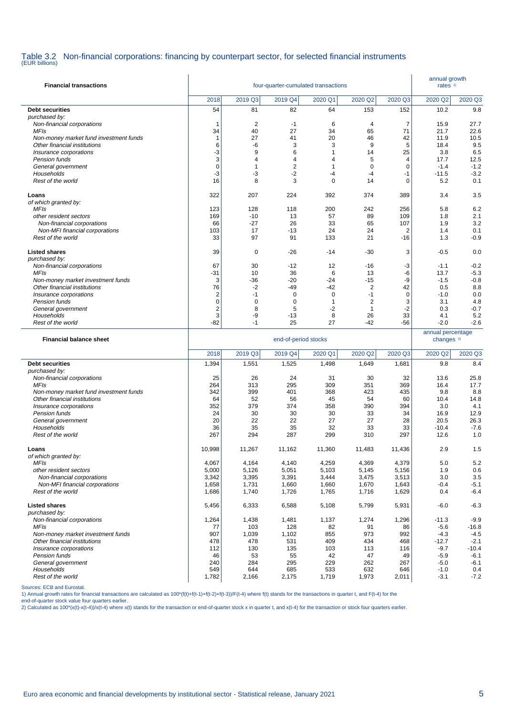# Table 3.2 Non-financial corporations: financing by counterpart sector, for selected financial instruments (EUR billions)

| <b>Financial transactions</b>                          |                         |                      | annual growth<br>rates <sup>1)</sup> |                |                      |                      |                       |                   |
|--------------------------------------------------------|-------------------------|----------------------|--------------------------------------|----------------|----------------------|----------------------|-----------------------|-------------------|
|                                                        | 2018                    | 2019 Q3              | 2019 Q4                              | 2020 Q1        | 2020 Q2              | 2020 Q3              | 2020 Q <sub>2</sub>   | 2020 Q3           |
| <b>Debt securities</b>                                 | 54                      | 81                   | 82                                   | 64             | 153                  | 152                  | 10.2                  | 9.8               |
| purchased by:                                          |                         |                      |                                      |                |                      |                      |                       |                   |
| Non-financial corporations                             | 1                       | $\overline{2}$<br>40 | $-1$<br>27                           | 6<br>34        | $\overline{4}$<br>65 | $\overline{7}$<br>71 | 15.9                  | 27.7              |
| MFIs<br>Non-money market fund investment funds         | 34<br>$\mathbf{1}$      | 27                   | 41                                   | 20             | 46                   | 42                   | 21.7<br>11.9          | 22.6<br>10.5      |
| Other financial institutions                           | 6                       | -6                   | 3                                    | 3              | 9                    | 5                    | 18.4                  | 9.5               |
| Insurance corporations                                 | -3                      | 9                    | 6                                    | $\mathbf{1}$   | 14                   | 25                   | 3.8                   | 6.5               |
| Pension funds                                          | 3                       | $\overline{4}$       | $\overline{4}$                       | $\overline{4}$ | 5                    | 4                    | 17.7                  | 12.5              |
| General government                                     | 0                       | $\mathbf{1}$         | $\overline{2}$                       | $\mathbf{1}$   | 0                    | $\mathbf 0$          | $-1.4$                | $-1.2$            |
| Households                                             | -3                      | -3                   | $-2$                                 | -4             | $-4$                 | $-1$                 | $-11.5$               | $-3.2$            |
| Rest of the world                                      | 16                      | 8                    | 3                                    | $\mathbf 0$    | 14                   | $\mathbf 0$          | 5.2                   | 0.1               |
| Loans                                                  | 322                     | 207                  | 224                                  | 392            | 374                  | 389                  | 3.4                   | 3.5               |
| of which granted by:                                   |                         |                      |                                      |                |                      |                      |                       |                   |
| <b>MFIs</b>                                            | 123                     | 128                  | 118                                  | 200            | 242                  | 256                  | 5.8                   | 6.2               |
| other resident sectors                                 | 169                     | $-10$                | 13                                   | 57             | 89                   | 109                  | 1.8                   | 2.1               |
| Non-financial corporations                             | 66                      | $-27$                | 26                                   | 33             | 65                   | 107                  | 1.9                   | 3.2               |
| Non-MFI financial corporations<br>Rest of the world    | 103<br>33               | 17<br>97             | -13<br>91                            | 24<br>133      | 24<br>21             | 2<br>$-16$           | 1.4<br>1.3            | 0.1<br>$-0.9$     |
|                                                        |                         |                      |                                      |                |                      |                      |                       |                   |
| <b>Listed shares</b>                                   | 39                      | 0                    | $-26$                                | $-14$          | -30                  | 3                    | $-0.5$                | 0.0               |
| purchased by:                                          |                         |                      |                                      |                |                      |                      |                       |                   |
| Non-financial corporations                             | 67                      | 30                   | $-12$                                | 12             | -16                  | -3                   | $-1.1$                | $-0.2$            |
| MFIs<br>Non-money market investment funds              | -31<br>3                | 10<br>-36            | 36<br>$-20$                          | 6<br>$-24$     | 13<br>-15            | -6<br>-9             | 13.7<br>$-1.5$        | $-5.3$<br>$-0.8$  |
| Other financial institutions                           | 76                      | $-2$                 | -49                                  | $-42$          | $\overline{c}$       | 42                   | 0.5                   | 8.8               |
| Insurance corporations                                 | $\overline{2}$          | $-1$                 | 0                                    | 0              | $-1$                 | $\mathbf 0$          | $-1.0$                | 0.0               |
| Pension funds                                          | 0                       | $\mathbf 0$          | 0                                    | $\mathbf{1}$   | 2                    | 3                    | 3.1                   | 4.8               |
| General government                                     | $\overline{\mathbf{c}}$ | 8                    | 5                                    | $-2$           | $\mathbf{1}$         | $-2$                 | 0.3                   | $-0.7$            |
| Households                                             | 3                       | -9                   | -13                                  | 8              | 26                   | 33                   | 4.1                   | 5.2               |
| Rest of the world                                      | -82                     | $-1$                 | 25                                   | 27             | $-42$                | -56                  | $-2.0$                | $-2.6$            |
|                                                        |                         |                      |                                      |                |                      |                      | annual percentage     |                   |
| <b>Financial balance sheet</b>                         |                         |                      | end-of-period stocks                 |                |                      |                      | changes <sup>2)</sup> |                   |
|                                                        | 2018                    |                      |                                      |                |                      | 2020 Q3              |                       |                   |
|                                                        |                         | 2019 Q3              | 2019 Q4                              | 2020 Q1        | 2020 Q2              |                      | 2020 Q2<br>9.8        | 2020 Q3<br>8.4    |
| <b>Debt securities</b><br>purchased by:                | 1,394                   | 1,551                | 1,525                                | 1,498          | 1,649                | 1,681                |                       |                   |
| Non-financial corporations                             | 25                      | 26                   | 24                                   | 31             | 30                   | 32                   | 13.6                  | 25.8              |
| <b>MFIs</b>                                            | 264                     | 313                  | 295                                  | 309            | 351                  | 369                  | 16.4                  | 17.7              |
| Non-money market fund investment funds                 | 342                     | 399                  | 401                                  | 368            | 423                  | 435                  | 9.8                   | 8.8               |
| Other financial institutions                           | 64                      | 52                   | 56                                   | 45             | 54                   | 60                   | 10.4                  | 14.8              |
| Insurance corporations                                 | 352                     | 379                  | 374                                  | 358            | 390                  | 394                  | 3.0                   | 4.1               |
| Pension funds                                          | 24<br>20                | 30<br>22             | 30<br>22                             | 30<br>27       | 33<br>27             | 34<br>28             | 16.9<br>20.5          | 12.9<br>26.3      |
| General government<br>Households                       | 36                      | 35                   | 35                                   | 32             | 33                   | 33                   | $-10.4$               | $-7.6$            |
| Rest of the world                                      | 267                     | 294                  | 287                                  | 299            | 310                  | 297                  | 12.6                  | 1.0               |
|                                                        |                         |                      |                                      |                |                      |                      |                       |                   |
| Loans                                                  | 10,998                  | 11,267               | 11.162                               | 11,360         | 11,483               | 11,436               | 2.9                   | 1.5               |
| of which granted by:<br><b>MFIs</b>                    | 4,067                   | 4,164                | 4,140                                | 4,259          | 4,369                | 4,379                | 5.0                   | 5.2               |
| other resident sectors                                 | 5,000                   | 5,126                | 5,051                                | 5,103          | 5,145                | 5,156                | 1.9                   | 0.6               |
| Non-financial corporations                             | 3,342                   | 3,395                | 3,391                                | 3,444          | 3,475                | 3,513                | 3.0                   | 3.5               |
| Non-MFI financial corporations                         | 1,658                   | 1,731                | 1,660                                | 1,660          | 1,670                | 1,643                | $-0.4$                | $-5.1$            |
| Rest of the world                                      | 1,686                   | 1,740                | 1,726                                | 1,765          | 1,716                | 1,629                | 0.4                   | $-6.4$            |
| <b>Listed shares</b>                                   | 5,456                   | 6,333                | 6,588                                | 5,108          | 5,799                | 5,931                | $-6.0$                | $-6.3$            |
| purchased by:                                          |                         |                      |                                      |                |                      |                      |                       |                   |
| Non-financial corporations                             | 1,264                   | 1,438                | 1,481                                | 1,137          | 1,274                | 1,296                | $-11.3$               | $-9.9$            |
| MFIs                                                   | 77                      | 103                  | 128                                  | 82             | 91                   | 86                   | $-5.6$                | $-16.8$           |
| Non-money market investment funds                      | 907                     | 1,039                | 1,102                                | 855            | 973                  | 992                  | $-4.3$                | $-4.5$            |
| Other financial institutions<br>Insurance corporations | 478                     | 478                  | 531                                  | 409            | 434                  | 468                  | $-12.7$               | $-2.1$            |
| Pension funds                                          | 112<br>46               | 130<br>53            | 135<br>55                            | 103<br>42      | 113<br>47            | 116<br>49            | $-9.7$<br>$-5.9$      | $-10.4$<br>$-6.1$ |
| General government                                     | 240                     | 284                  | 295                                  | 229            | 262                  | 267                  | $-5.0$                | $-6.1$            |
| Households<br>Rest of the world                        | 549<br>1,782            | 644<br>2,166         | 685<br>2,175                         | 533<br>1,719   | 632<br>1,973         | 646<br>2,011         | $-1.0$<br>$-3.1$      | 0.4<br>$-7.2$     |

Sources: ECB and Eurostat.

1) Annual growth rates for financial transactions are calculated as 100\*(f(t)+f(t-1)+f(t-2)+f(t-3))/F(t-4) where f(t) stands for the transactions in quarter t, and F(t-4) for the

end-of-quarter stock value four quarters earlier.<br>2) Calculated as 100\*(x(t)-x(t-4))/x(t-4) where x(t) stands for the transaction or end-of-quarter stock x in quarter t, and x(t-4) for the transaction or stock four quarter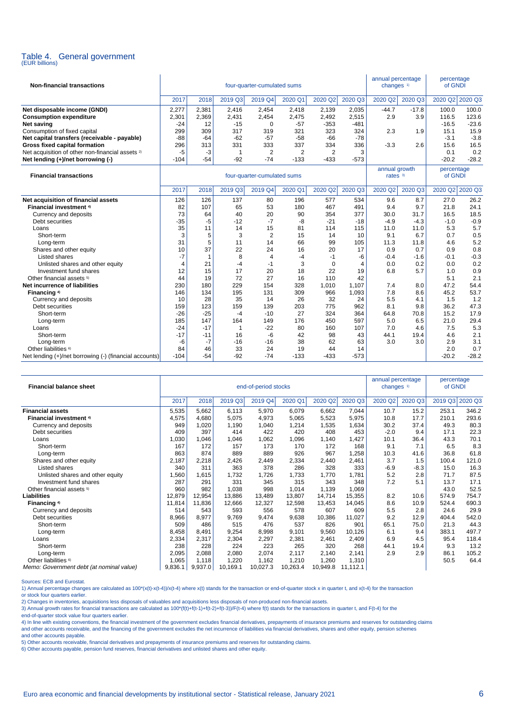

| <b>Non-financial transactions</b>                           | four-quarter-cumulated sums |       |         |         |         |                     |            |         | annual percentage<br>changes $1$ |         | percentage<br>of GNDI |
|-------------------------------------------------------------|-----------------------------|-------|---------|---------|---------|---------------------|------------|---------|----------------------------------|---------|-----------------------|
|                                                             | 2017                        | 2018  | 2019 Q3 | 2019 Q4 | 2020 Q1 | 2020 Q <sub>2</sub> | 2020 Q3    | 2020 Q2 | 2020 Q3                          |         | 2020 Q2 2020 Q3       |
| Net disposable income (GNDI)                                | 2.277                       | 2.381 | 2.416   | 2.454   | 2.418   | 2.139               | 2.035      | $-44.7$ | $-17.8$                          | 100.0   | 100.0                 |
| <b>Consumption expenditure</b>                              | 2,301                       | 2.369 | 2.431   | 2.454   | 2.475   | 2,492               | 2,515      | 2.9     | 3.9                              | 116.5   | 123.6                 |
| Net saving                                                  | $-24$                       | 12    | $-15$   | 0       | $-57$   | $-353$              | -481       |         |                                  | $-16.5$ | $-23.6$               |
| Consumption of fixed capital                                | 299                         | 309   | 317     | 319     | 321     | 323                 | 324        | 2.3     | 1.9                              | 15.1    | 15.9                  |
| Net capital transfers (receivable - payable)                | -88                         | $-64$ | $-62$   | $-57$   | $-58$   | $-66$               | -78        |         |                                  | $-3.1$  | $-3.8$                |
| Gross fixed capital formation                               | 296                         | 313   | 331     | 333     | 337     | 334                 | 336        | $-3.3$  | 2.6                              | 15.6    | 16.5                  |
| Net acquisition of other non-financial assets <sup>2)</sup> | -5                          | -3    |         | ⌒       | $\sim$  | ◠                   | $\sqrt{2}$ |         |                                  | 0.1     | 0.2                   |
| Net lending (+)/net borrowing (-)                           | $-104$                      | $-54$ | $-92$   | $-74$   | $-133$  | $-433$              | $-573$     |         |                                  | $-20.2$ | $-28.2$               |

| <b>Financial transactions</b>                          | four-quarter-cumulated sums |       |         |                |         |         |         |         | annual growth<br>rates $3)$ | percentage<br>of GNDI |         |
|--------------------------------------------------------|-----------------------------|-------|---------|----------------|---------|---------|---------|---------|-----------------------------|-----------------------|---------|
|                                                        | 2017                        | 2018  | 2019 Q3 | 2019 Q4        | 2020 Q1 | 2020 Q2 | 2020 Q3 | 2020 Q2 | 2020 Q3                     | 2020 Q2               | 2020 Q3 |
| Net acquisition of financial assets                    | 126                         | 126   | 137     | 80             | 196     | 577     | 534     | 9.6     | 8.7                         | 27.0                  | 26.2    |
| <b>Financial investment 4)</b>                         | 82                          | 107   | 65      | 53             | 180     | 467     | 491     | 9.4     | 9.7                         | 21.8                  | 24.1    |
| Currency and deposits                                  | 73                          | 64    | 40      | 20             | 90      | 354     | 377     | 30.0    | 31.7                        | 16.5                  | 18.5    |
| Debt securities                                        | $-35$                       | $-5$  | $-12$   | $-7$           | -8      | $-21$   | $-18$   | $-4.9$  | $-4.3$                      | $-1.0$                | $-0.9$  |
| Loans                                                  | 35                          | 11    | 14      | 15             | 81      | 114     | 115     | 11.0    | 11.0                        | 5.3                   | 5.7     |
| Short-term                                             | 3                           | 5     | 3       | $\overline{2}$ | 15      | 14      | 10      | 9.1     | 6.7                         | 0.7                   | 0.5     |
| Long-term                                              | 31                          | 5     | 11      | 14             | 66      | 99      | 105     | 11.3    | 11.8                        | 4.6                   | 5.2     |
| Shares and other equity                                | 10                          | 37    | 22      | 24             | 16      | 20      | 17      | 0.9     | 0.7                         | 0.9                   | 0.8     |
| Listed shares                                          | -7                          |       | 8       | 4              | -4      | $-1$    | -6      | $-0.4$  | $-1.6$                      | $-0.1$                | $-0.3$  |
| Unlisted shares and other equity                       | 4                           | 21    | -4      | -1             | 3       | 0       | 4       | 0.0     | 0.2                         | 0.0                   | 0.2     |
| Investment fund shares                                 | 12                          | 15    | 17      | 20             | 18      | 22      | 19      | 6.8     | 5.7                         | 1.0                   | 0.9     |
| Other financial assets 5)                              | 44                          | 19    | 72      | 27             | 16      | 110     | 42      |         |                             | 5.1                   | 2.1     |
| Net incurrence of liabilities                          | 230                         | 180   | 229     | 154            | 328     | 1,010   | 1,107   | 7.4     | 8.0                         | 47.2                  | 54.4    |
| Financing 4)                                           | 146                         | 134   | 195     | 131            | 309     | 966     | 1,093   | 7.8     | 8.6                         | 45.2                  | 53.7    |
| Currency and deposits                                  | 10                          | 28    | 35      | 14             | 26      | 32      | 24      | 5.5     | 4.1                         | 1.5                   | 1.2     |
| Debt securities                                        | 159                         | 123   | 159     | 139            | 203     | 775     | 962     | 8.1     | 9.8                         | 36.2                  | 47.3    |
| Short-term                                             | $-26$                       | $-25$ | $-4$    | $-10$          | 27      | 324     | 364     | 64.8    | 70.8                        | 15.2                  | 17.9    |
| Long-term                                              | 185                         | 147   | 164     | 149            | 176     | 450     | 597     | 5.0     | 6.5                         | 21.0                  | 29.4    |
| Loans                                                  | $-24$                       | $-17$ |         | $-22$          | 80      | 160     | 107     | 7.0     | 4.6                         | 7.5                   | 5.3     |
| Short-term                                             | $-17$                       | $-11$ | 16      | $-6$           | 42      | 98      | 43      | 44.1    | 19.4                        | 4.6                   | 2.1     |
| Long-term                                              | -6                          | $-7$  | $-16$   | $-16$          | 38      | 62      | 63      | 3.0     | 3.0                         | 2.9                   | 3.1     |
| Other liabilities <sup>6)</sup>                        | 84                          | 46    | 33      | 24             | 19      | 44      | 14      |         |                             | 2.0                   | 0.7     |
| Net lending (+)/net borrowing (-) (financial accounts) | $-104$                      | $-54$ | $-92$   | $-74$          | $-133$  | $-433$  | $-573$  |         |                             | $-20.2$               | $-28.2$ |

| <b>Financial balance sheet</b>           |         | end-of-period stocks |          |          |          |          |          |         |         | percentage<br>of GNDI |         |
|------------------------------------------|---------|----------------------|----------|----------|----------|----------|----------|---------|---------|-----------------------|---------|
|                                          | 2017    | 2018                 | 2019 Q3  | 2019 Q4  | 2020 Q1  | 2020 Q2  | 2020 Q3  | 2020 Q2 | 2020 Q3 | 2019 Q3               | 2020 Q3 |
| <b>Financial assets</b>                  | 5,535   | 5,662                | 6,113    | 5,970    | 6,079    | 6,662    | 7,044    | 10.7    | 15.2    | 253.1                 | 346.2   |
| <b>Financial investment 4)</b>           | 4,575   | 4,680                | 5,075    | 4,973    | 5,065    | 5,523    | 5,975    | 10.8    | 17.7    | 210.1                 | 293.6   |
| Currency and deposits                    | 949     | 1,020                | 1,190    | 1,040    | 1,214    | 1,535    | 1,634    | 30.2    | 37.4    | 49.3                  | 80.3    |
| Debt securities                          | 409     | 397                  | 414      | 422      | 420      | 408      | 453      | $-2.0$  | 9.4     | 17.1                  | 22.3    |
| Loans                                    | ,030    | 1,046                | 1,046    | 1,062    | 1,096    | 1,140    | 1,427    | 10.1    | 36.4    | 43.3                  | 70.1    |
| Short-term                               | 167     | 172                  | 157      | 173      | 170      | 172      | 168      | 9.1     | 7.1     | 6.5                   | 8.3     |
| Long-term                                | 863     | 874                  | 889      | 889      | 926      | 967      | 1,258    | 10.3    | 41.6    | 36.8                  | 61.8    |
| Shares and other equity                  | 2,187   | 2,218                | 2,426    | 2,449    | 2,334    | 2,440    | 2,461    | 3.7     | 1.5     | 100.4                 | 121.0   |
| Listed shares                            | 340     | 311                  | 363      | 378      | 286      | 328      | 333      | $-6.9$  | $-8.3$  | 15.0                  | 16.3    |
| Unlisted shares and other equity         | ,560    | 1,615                | 1,732    | 1,726    | 1,733    | 1,770    | 1,781    | 5.2     | 2.8     | 71.7                  | 87.5    |
| Investment fund shares                   | 287     | 291                  | 331      | 345      | 315      | 343      | 348      | 7.2     | 5.1     | 13.7                  | 17.1    |
| Other financial assets <sup>5)</sup>     | 960     | 982                  | 1,038    | 998      | 1,014    | 1,139    | 1,069    |         |         | 43.0                  | 52.5    |
| Liabilities                              | 12,879  | 12,954               | 13,886   | 13,489   | 13,807   | 14,714   | 15,355   | 8.2     | 10.6    | 574.9                 | 754.7   |
| Financing 4)                             | 11,814  | 11,836               | 12,666   | 12,327   | 12,598   | 13,453   | 14,045   | 8.6     | 10.9    | 524.4                 | 690.3   |
| Currency and deposits                    | 514     | 543                  | 593      | 556      | 578      | 607      | 609      | 5.5     | 2.8     | 24.6                  | 29.9    |
| Debt securities                          | 8,966   | 8,977                | 9,769    | 9,474    | 9,638    | 10,386   | 11,027   | 9.2     | 12.9    | 404.4                 | 542.0   |
| Short-term                               | 509     | 486                  | 515      | 476      | 537      | 826      | 901      | 65.1    | 75.0    | 21.3                  | 44.3    |
| Long-term                                | 8,458   | 8,491                | 9,254    | 8,998    | 9,101    | 9,560    | 10,126   | 6.1     | 9.4     | 383.1                 | 497.7   |
| Loans                                    | 2,334   | 2,317                | 2,304    | 2,297    | 2,381    | 2,461    | 2,409    | 6.9     | 4.5     | 95.4                  | 118.4   |
| Short-term                               | 238     | 228                  | 224      | 223      | 265      | 320      | 268      | 44.1    | 19.4    | 9.3                   | 13.2    |
| Long-term                                | 2,095   | 2,088                | 2,080    | 2,074    | 2,117    | 2,140    | 2,141    | 2.9     | 2.9     | 86.1                  | 105.2   |
| Other liabilities <sup>6)</sup>          | 1,065   | 1,118                | 1,220    | 1,162    | 1,210    | 1,260    | 1,310    |         |         | 50.5                  | 64.4    |
| Memo: Government debt (at nominal value) | 9,836.1 | 9,937.0              | 10,169.1 | 10,027.3 | 10,263.4 | 10,949.8 | 11,112.1 |         |         |                       |         |

Sources: ECB and Eurostat.

1) Annual percentage changes are calculated as 100\*(x(t)-x(t-4))/x(t-4) where x(t) stands for the transaction or end-of-quarter stock x in quarter t, and x(t-4) for the transaction or stock four quarters earlier.

2) Changes in inventories, acquisitions less disposals of valuables and acquisitions less disposals of non-produced non-financial assets.

3) Annual growth rates for financial transactions are calculated as 100\*(f(t)+f(t-1)+f(t-2)+f(t-3))/F(t-4) where f(t) stands for the transactions in quarter t, and F(t-4) for the

end-of-quarter stock value four quarters earlier.

4) In line with existing conventions, the financial investment of the government excludes financial derivatives, prepayments of insurance premiums and reserves for outstanding claims<br>and other accounts receivable, and the

and other accounts payable.

5) Other accounts receivable, financial derivatives and prepayments of insurance premiums and reserves for outstanding claims.

6) Other accounts payable, pension fund reserves, financial derivatives and unlisted shares and other equity.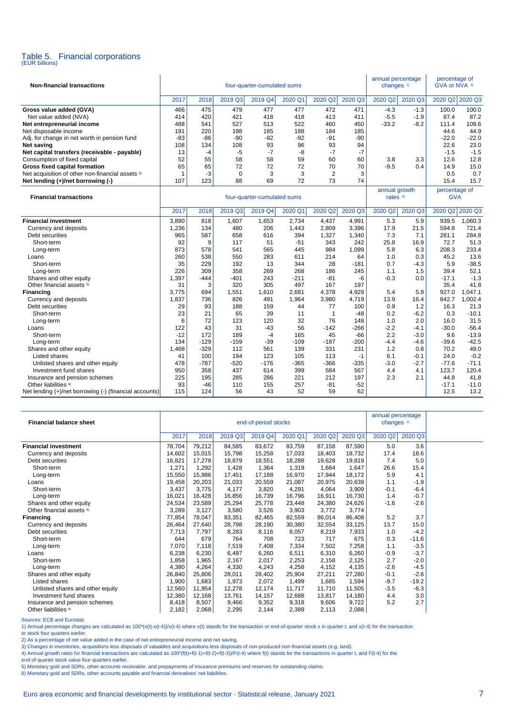# Table 5. Financial corporations (EUR billions)

| <b>Non-financial transactions</b>                      | four-quarter-cumulated sums |          |               |              |               |                |               |                           | annual percentage<br>changes <sup>1)</sup> |                             | percentage of<br>GVA or NVA <sup>2)</sup> |  |
|--------------------------------------------------------|-----------------------------|----------|---------------|--------------|---------------|----------------|---------------|---------------------------|--------------------------------------------|-----------------------------|-------------------------------------------|--|
|                                                        | 2017                        | 2018     | 2019 Q3       | 2019 Q4      | 2020 Q1       | 2020 Q2        | 2020 Q3       | 2020 Q2                   | 2020 Q3                                    | 2020 Q2 2020 Q3             |                                           |  |
| Gross value added (GVA)                                | 466                         | 475      | 479           | 477          | 477           | 472            | 471           | $-4.3$                    | $-1.3$                                     | 100.0                       | 100.0                                     |  |
| Net value added (NVA)                                  | 414                         | 420      | 421           | 418          | 418           | 413            | 411           | $-5.5$                    | $-1.9$                                     | 87.4                        | 87.2                                      |  |
| Net entrepreneurial income                             | 488                         | 541      | 527           | 513          | 522           | 460            | 450           | $-33.2$                   | $-8.2$                                     | 111.4                       | 109.6                                     |  |
| Net disposable income                                  | 191                         | 220      | 198           | 185          | 188           | 184            | 185           |                           |                                            | 44.6                        | 44.9                                      |  |
| Adj. for change in net worth in pension fund           | -83                         | $-86$    | $-90$         | $-92$        | $-92$         | $-91$          | -90           |                           |                                            | $-22.0$                     | $-22.0$                                   |  |
| <b>Net saving</b>                                      | 108                         | 134      | 108           | 93           | 96            | 93             | 94            |                           |                                            | 22.6                        | 23.0                                      |  |
| Net capital transfers (receivable - payable)           | 13                          | $-4$     | $-5$          | $-7$         | -8            | $-7$           | $-7$          |                           |                                            | $-1.5$                      | $-1.5$                                    |  |
| Consumption of fixed capital                           | 52                          | 55       | 58            | 58           | 59            | 60             | 60            | 3.8                       | 3.3                                        | 12.6                        | 12.8                                      |  |
| Gross fixed capital formation                          | 65                          | 65       | 72            | 72           | 72            | 70             | 70            | $-9.5$                    | 0.4                                        | 14.9                        | 15.0                                      |  |
| Net acquisition of other non-financial assets 3)       | $\overline{1}$              | -3       | 0             | 3            | 3             | $\overline{2}$ | 3             |                           |                                            | 0.5                         | 0.7                                       |  |
| Net lending (+)/net borrowing (-)                      | 107                         | 123      | 88            | 69           | 72            | 73             | 74            |                           |                                            | 15.4                        | 15.7                                      |  |
| <b>Financial transactions</b>                          | four-quarter-cumulated sums |          |               |              |               |                |               | annual growth<br>rates 4) |                                            | percentage of<br><b>GVA</b> |                                           |  |
|                                                        | 2017                        | 2018     | 2019 Q3       | 2019 Q4      | 2020 Q1       | 2020 Q2        | 2020 Q3       | 2020 Q2                   | 2020 Q3                                    | 2020 Q2                     | 2020 Q3                                   |  |
| <b>Financial investment</b>                            | 3,890                       | 818      | 1,607         | 1,653        | 2,734         | 4,437          | 4,991         | 5.3                       | 5.9                                        | 939.5                       | 1.060.3                                   |  |
| Currency and deposits                                  | 1,236                       | 134      | 480           | 206          | 1,443         | 2,809          | 3,396         | 17.9                      | 21.5                                       | 594.8                       | 721.4                                     |  |
| Debt securities                                        | 965                         | 587      | 658           | 616          | 394           | 1,327          | 1,340         | 7.3                       | 7.1                                        | 281.1                       | 284.8                                     |  |
| Short-term                                             | 92                          | 9        | 117           | 51           | $-51$         | 343            | 242           | 25.8                      | 16.9                                       | 72.7                        | 51.3                                      |  |
| Long-term                                              | 873                         | 578      | 541           | 565          | 445           | 984            | 1,099         | 5.8                       | 6.3                                        | 208.3                       | 233.4                                     |  |
| Loans                                                  | 260                         | 538      | 550           | 283          | 611           | 214            | 64            | 1.0                       | 0.3                                        | 45.2                        | 13.6                                      |  |
| Short-term                                             | 35                          | 229      | 192           | 13           | 344           | 28             | $-181$        | 0.7                       | $-4.3$                                     | 5.9                         | $-38.5$                                   |  |
| Long-term                                              | 226                         | 309      | 358           | 269          | 268           | 186            | 245           | 1.1                       | 1.5                                        | 39.4                        | 52.1                                      |  |
| Shares and other equity                                | 1,397                       | $-444$   | $-401$        | 243          | $-211$        | $-81$          | -6            | $-0.3$                    | 0.0                                        | $-17.1$                     | $-1.3$                                    |  |
| Other financial assets <sup>5)</sup>                   | 31                          | 3        | 320           | 305          | 497           | 167            | 197           |                           |                                            | 35.4                        | 41.8                                      |  |
| <b>Financing</b>                                       | 3.775                       | 694      | 1,551         | 1,610        | 2,681         | 4,378          | 4,929         | 5.4                       | 5.9                                        | 927.0                       | 1,047.1                                   |  |
| Currency and deposits                                  | 1,837                       | 736      | 826           | 491          | 1,964         | 3,980          | 4,719         | 13.9                      | 16.4                                       | 842.7                       | 1,002.4                                   |  |
| Debt securities                                        | 29                          | 93       | 188           | 159          | 44            | 77             | 100           | 0.9                       | 1.2                                        | 16.3                        | 21.3                                      |  |
| Short-term                                             | 23                          | 21       | 65            | 39           | 11            | $\mathbf{1}$   | $-48$         | 0.2                       | $-6.2$                                     | 0.3                         | $-10.1$                                   |  |
| Long-term                                              | 6<br>122                    | 72<br>43 | 123<br>31     | 120          | 32<br>56      | 76<br>$-142$   | 148<br>$-266$ | 1.0<br>$-2.2$             | 2.0                                        | 16.0<br>$-30.0$             | 31.5<br>$-56.4$                           |  |
| Loans                                                  | $-12$                       | 172      | 189           | $-43$        |               | 45             |               | 2.2                       | $-4.1$                                     | 9.6                         | $-13.9$                                   |  |
| Short-term                                             | 134                         | $-129$   |               | $-4$         | 165           |                | -66           |                           | $-3.0$                                     |                             | $-42.5$                                   |  |
| Long-term                                              | 1,468                       | $-329$   | $-159$<br>112 | $-39$<br>561 | $-109$<br>139 | $-187$<br>331  | $-200$<br>231 | $-4.4$<br>1.2             | $-4.6$<br>0.8                              | $-39.6$<br>70.2             | 49.0                                      |  |
| Shares and other equity<br>Listed shares               | 41                          | 100      | 194           | 123          | 105           | 113            | $-1$          | 6.1                       | -0.1                                       | 24.0                        | $-0.2$                                    |  |
| Unlisted shares and other equity                       | 478                         | $-787$   | $-520$        | $-176$       | $-365$        | $-366$         | $-335$        | $-3.0$                    | $-2.7$                                     | $-77.6$                     | $-71.1$                                   |  |
| Investment fund shares                                 | 950                         | 358      | 437           | 614          | 399           | 584            | 567           | 4.4                       | 4.1                                        | 123.7                       | 120.4                                     |  |
| Insurance and pension schemes                          | 225                         | 195      | 285           | 286          | 221           | 212            | 197           | 2.3                       | 2.1                                        | 44.8                        | 41.8                                      |  |
| Other liabilities <sup>6)</sup>                        | 93                          | $-46$    | 110           | 155          | 257           | $-81$          | $-52$         |                           |                                            | $-17.1$                     | $-11.0$                                   |  |
| Net lending (+)/net borrowing (-) (financial accounts) | 115                         | 124      | 56            | 43           | 52            | 59             | 62            |                           |                                            | 12.5                        | 13.2                                      |  |

| <b>Financial balance sheet</b>       | end-of-period stocks |        |         |         |         |         |         | annual percentage<br>changes <sup>1)</sup> |         |  |
|--------------------------------------|----------------------|--------|---------|---------|---------|---------|---------|--------------------------------------------|---------|--|
|                                      | 2017                 | 2018   | 2019 Q3 | 2019 Q4 | 2020 Q1 | 2020 Q2 | 2020 Q3 | 2020 Q2                                    | 2020 Q3 |  |
| <b>Financial investment</b>          | 78,704               | 79,212 | 84,585  | 83,672  | 83,759  | 87,158  | 87,590  | 5.0                                        | 3.6     |  |
| Currency and deposits                | 14,602               | 15,015 | 15,798  | 15,258  | 17,033  | 18,403  | 18,732  | 17.4                                       | 18.6    |  |
| Debt securities                      | 16,821               | 17,278 | 18,879  | 18,551  | 18,288  | 19,628  | 19,819  | 7.4                                        | 5.0     |  |
| Short-term                           | 1,271                | 1,292  | 1,428   | 1,364   | 1,319   | 1,684   | 1,647   | 26.6                                       | 15.4    |  |
| Long-term                            | 15,550               | 15,986 | 17,451  | 17,188  | 16,970  | 17,944  | 18,172  | 5.9                                        | 4.1     |  |
| Loans                                | 19,458               | 20,203 | 21,033  | 20,559  | 21,087  | 20,975  | 20,639  | 1.1                                        | $-1.9$  |  |
| Short-term                           | 3,437                | 3,775  | 4,177   | 3,820   | 4,291   | 4,064   | 3,909   | $-0.1$                                     | $-6.4$  |  |
| Long-term                            | 16,021               | 16,428 | 16,856  | 16,739  | 16,796  | 16,911  | 16,730  | 1.4                                        | $-0.7$  |  |
| Shares and other equity              | 24,534               | 23,589 | 25,294  | 25,778  | 23,448  | 24,380  | 24,626  | $-1.6$                                     | $-2.6$  |  |
| Other financial assets <sup>5)</sup> | 3,289                | 3,127  | 3,580   | 3,526   | 3,903   | 3.772   | 3,774   |                                            |         |  |
| Financing                            | 77,854               | 78,047 | 83,351  | 82,465  | 82,559  | 86,014  | 86,408  | 5.2                                        | 3.7     |  |
| Currency and deposits                | 26,464               | 27,640 | 28,798  | 28,190  | 30,380  | 32,554  | 33,125  | 13.7                                       | 15.0    |  |
| Debt securities                      | 7.713                | 7,797  | 8,283   | 8,116   | 8,057   | 8,219   | 7,933   | 1.0                                        | $-4.2$  |  |
| Short-term                           | 644                  | 679    | 764     | 708     | 723     | 717     | 675     | 0.3                                        | $-11.6$ |  |
| Long-term                            | 7,070                | 7.118  | 7,519   | 7,408   | 7,334   | 7,502   | 7,258   | 1.1                                        | $-3.5$  |  |
| Loans                                | 6,238                | 6,230  | 6,497   | 6,260   | 6,511   | 6,310   | 6,260   | $-0.9$                                     | $-3.7$  |  |
| Short-term                           | 1,858                | 1.965  | 2.167   | 2,017   | 2,253   | 2.158   | 2,125   | 2.7                                        | $-2.0$  |  |
| Long-term                            | 4,380                | 4,264  | 4,330   | 4,243   | 4,258   | 4,152   | 4,135   | $-2.6$                                     | $-4.5$  |  |
| Shares and other equity              | 26,840               | 25,806 | 28,011  | 28,402  | 25,904  | 27,211  | 27,280  | $-0.1$                                     | $-2.6$  |  |
| Listed shares                        | 1,900                | 1,683  | 1,973   | 2,072   | 1,499   | 1,685   | 1,594   | $-9.7$                                     | $-19.2$ |  |
| Unlisted shares and other equity     | 12,560               | 11,954 | 12,278  | 12,174  | 11,717  | 11,710  | 11,505  | $-3.5$                                     | $-6.3$  |  |
| Investment fund shares               | 12,380               | 12,168 | 13,761  | 14,157  | 12,688  | 13,817  | 14,180  | 4.4                                        | 3.0     |  |
| Insurance and pension schemes        | 8,418                | 8,507  | 9,466   | 9,352   | 9,318   | 9,606   | 9,722   | 5.2                                        | 2.7     |  |
| Other liabilities <sup>6)</sup>      | 2,182                | 2,068  | 2,295   | 2,144   | 2,389   | 2,113   | 2,088   |                                            |         |  |

Sources: ECB and Eurostat.<br>1) Annual percentage changes are calculated as 100\*(x(t)-x(t-4))/x(t-4) where x(t) stands for the transaction or end-of-quarter stock x in quarter t, and x(t-4) for the transaction<br>or stock four

2) As a percentage of net value added in the case of net entrepreneurial income and net saving.

3) Changes in inventories, acquisitions less disposals of valuables and acquisitions less disposals of non-produced non-financial assets (e.g. land).

4) Annual growth rates for financial transactions are calculated as 100\*(f(t)+f(t-1)+f(t-2)+f(t-3))/F(t-4) where f(t) stands for the transactions in quarter t, and F(t-4) for the

end-of-quarter stock value four quarters earlier.<br>5) Monetary gold and SDRs, other accounts receivable, and prepayments of insurance premiums and reserves for outstanding claims.<br>6) Monetary gold and SDRs, other accounts p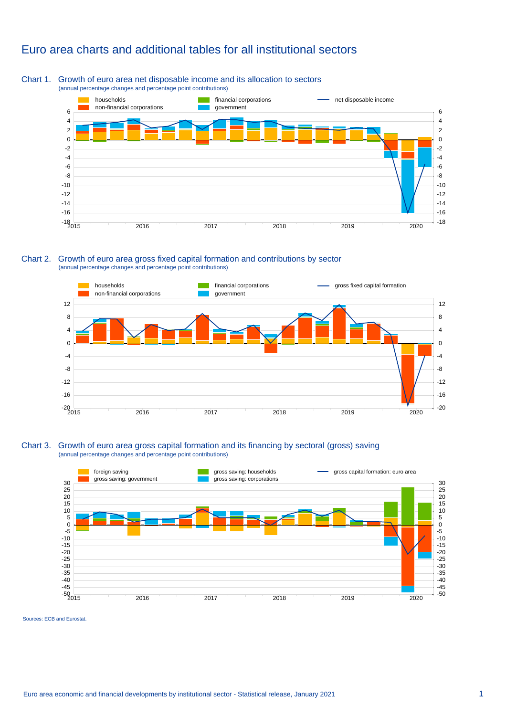### Euro area charts and additional tables for all institutional sectors

### Chart 1. Growth of euro area net disposable income and its allocation to sectors (annual percentage changes and percentage point contributions)



Chart 2. Growth of euro area gross fixed capital formation and contributions by sector (annual percentage changes and percentage point contributions)



### Chart 3. Growth of euro area gross capital formation and its financing by sectoral (gross) saving (annual percentage changes and percentage point contributions)



Sources: ECB and Eurostat.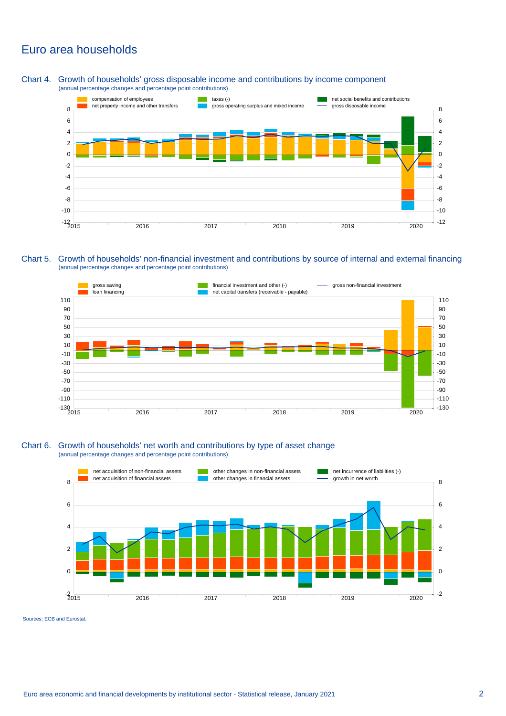### Euro area households

Chart 4. Growth of households' gross disposable income and contributions by income component (annual percentage changes and percentage point contributions)



Chart 5. Growth of households' non-financial investment and contributions by source of internal and external financing (annual percentage changes and percentage point contributions)



### Chart 6. Growth of households' net worth and contributions by type of asset change (annual percentage changes and percentage point contributions)



Sources: ECB and Eurostat.